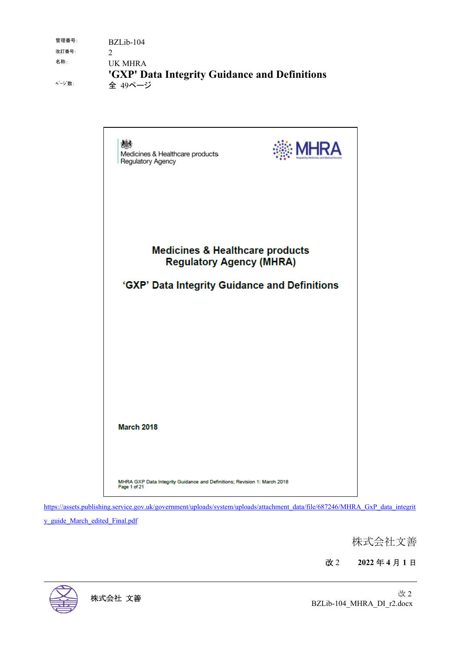| 管理番号: | BZLib-104                                     |
|-------|-----------------------------------------------|
| 改訂番号: |                                               |
| 名称:   | UK MHRA                                       |
|       | 'GXP' Data Integrity Guidance and Definitions |
| ページ数: | 全 49ページ                                       |



https://assets.publishing.service.gov.uk/government/uploads/system/uploads/attachment\_data/file/687246/MHRA\_GxP\_data\_integrit

y\_guide\_March\_edited\_Final.pdf

株式会社文善

改 2 **2022** 年 **4** 月 **1** 日

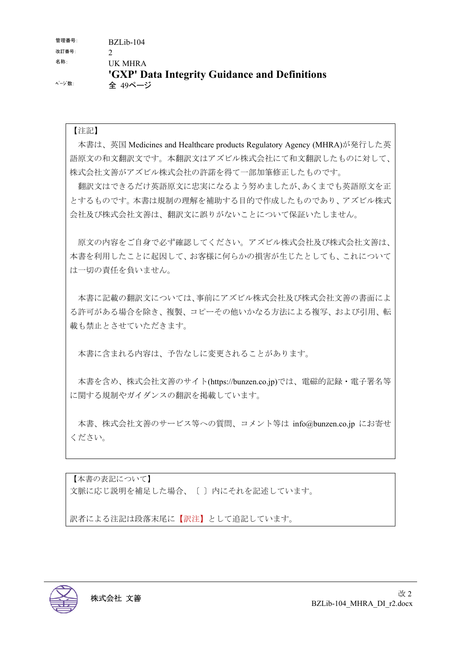管理番号: BZLib-104 改訂番号: 7 名称: UK MHRA **'GXP' Data Integrity Guidance and Definitions** ページ数: 全 49ページ

#### 【注記】

本書は、英国 Medicines and Healthcare products Regulatory Agency (MHRA)が発行した英 語原文の和文翻訳文です。本翻訳文はアズビル株式会社にて和文翻訳したものに対して、 株式会社文善がアズビル株式会社の許諾を得て一部加筆修正したものです。

翻訳文はできるだけ英語原文に忠実になるよう努めましたが、あくまでも英語原文を正 とするものです。本書は規制の理解を補助する目的で作成したものであり、アズビル株式 会社及び株式会社文善は、翻訳文に誤りがないことについて保証いたしません。

原文の内容をご自身で必ず確認してください。アズビル株式会社及び株式会社文善は、 本書を利用したことに起因して、お客様に何らかの損害が生じたとしても、これについて は一切の責任を負いません。

本書に記載の翻訳文については、事前にアズビル株式会社及び株式会社文善の書面によ る許可がある場合を除き、複製、コピーその他いかなる方法による複写、および引用、転 載も禁止とさせていただきます。

本書に含まれる内容は、予告なしに変更されることがあります。

本書を含め、株式会社文善のサイト(https://bunzen.co.jp)では、電磁的記録・電子署名等 に関する規制やガイダンスの翻訳を掲載しています。

本書、株式会社文善のサービス等への質問、コメント等は info@bunzen.co.jp にお寄せ ください。

【本書の表記について】 文脈に応じ説明を補足した場合、〔 〕内にそれを記述しています。

訳者による注記は段落末尾に【訳注】として追記しています。

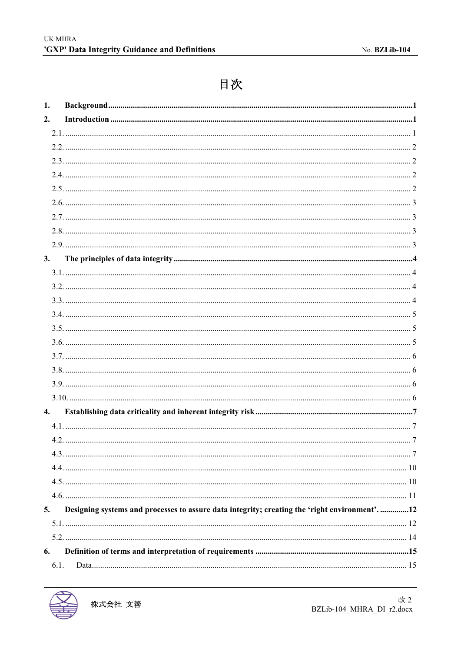# 目次

| 1.   |                                                                                              |  |
|------|----------------------------------------------------------------------------------------------|--|
| 2.   |                                                                                              |  |
|      |                                                                                              |  |
|      |                                                                                              |  |
|      |                                                                                              |  |
|      |                                                                                              |  |
|      |                                                                                              |  |
|      |                                                                                              |  |
|      |                                                                                              |  |
|      |                                                                                              |  |
|      |                                                                                              |  |
| 3.   |                                                                                              |  |
|      |                                                                                              |  |
|      |                                                                                              |  |
|      |                                                                                              |  |
|      |                                                                                              |  |
|      |                                                                                              |  |
|      |                                                                                              |  |
|      |                                                                                              |  |
|      |                                                                                              |  |
|      |                                                                                              |  |
|      |                                                                                              |  |
| 4.   |                                                                                              |  |
|      |                                                                                              |  |
|      |                                                                                              |  |
|      |                                                                                              |  |
|      |                                                                                              |  |
|      |                                                                                              |  |
|      |                                                                                              |  |
| 5.   | Designing systems and processes to assure data integrity; creating the 'right environment'12 |  |
|      |                                                                                              |  |
|      |                                                                                              |  |
| 6.   |                                                                                              |  |
| 6.1. |                                                                                              |  |

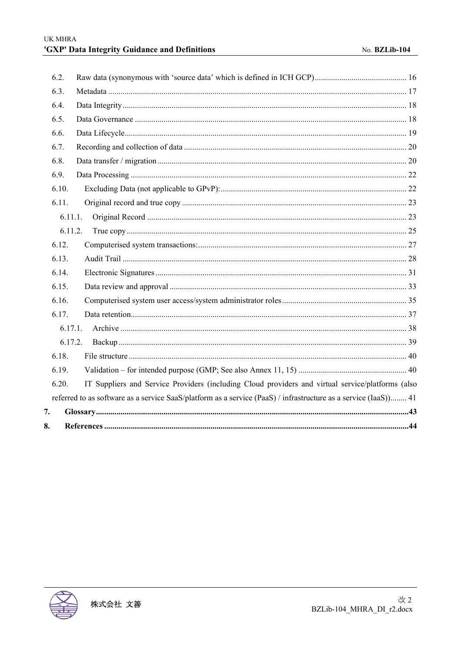|    | 6.2.    |                                                                                                                 |
|----|---------|-----------------------------------------------------------------------------------------------------------------|
|    | 6.3.    |                                                                                                                 |
|    | 6.4.    |                                                                                                                 |
|    | 6.5.    |                                                                                                                 |
|    | 6.6.    |                                                                                                                 |
|    | 6.7.    |                                                                                                                 |
|    | 6.8.    |                                                                                                                 |
|    | 6.9.    |                                                                                                                 |
|    | 6.10.   |                                                                                                                 |
|    | 6.11.   |                                                                                                                 |
|    | 6.11.1. |                                                                                                                 |
|    | 6.11.2. |                                                                                                                 |
|    | 6.12.   |                                                                                                                 |
|    | 6.13.   |                                                                                                                 |
|    | 6.14.   |                                                                                                                 |
|    | 6.15.   |                                                                                                                 |
|    | 6.16.   |                                                                                                                 |
|    | 6.17.   |                                                                                                                 |
|    | 6.17.1. |                                                                                                                 |
|    | 6.17.2. |                                                                                                                 |
|    | 6.18.   |                                                                                                                 |
|    | 6.19.   |                                                                                                                 |
|    | 6.20.   | IT Suppliers and Service Providers (including Cloud providers and virtual service/platforms (also               |
|    |         | referred to as software as a service SaaS/platform as a service (PaaS) / infrastructure as a service (IaaS)) 41 |
| 7. |         |                                                                                                                 |
| 8. |         |                                                                                                                 |

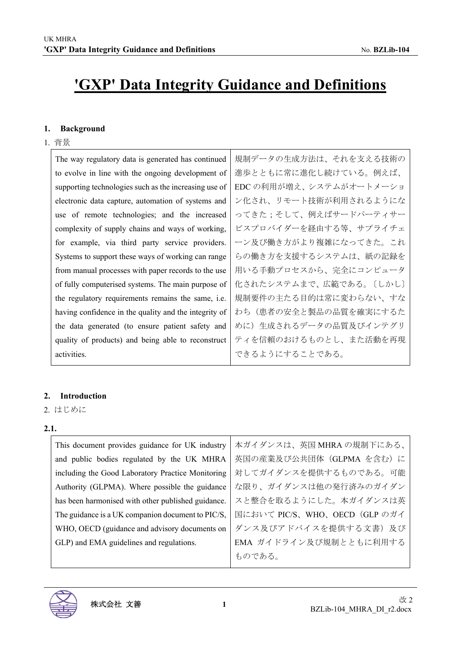# **'GXP' Data Integrity Guidance and Definitions**

#### **1. Background**

1. 背景

| 規制データの生成方法は、それを支える技術の   |
|-------------------------|
| 進歩とともに常に進化し続けている。例えば、   |
| EDC の利用が増え、システムがオートメーショ |
| ン化され、リモート技術が利用されるようにな   |
| ってきた;そして、例えばサードパーティサー   |
| ビスプロバイダーを経由する等、サプライチェ   |
| ーン及び働き方がより複雑になってきた。これ   |
| らの働き方を支援するシステムは、紙の記録を   |
| 用いる手動プロセスから、完全にコンピュータ   |
| 化されたシステムまで、広範である。〔しかし〕  |
| 規制要件の主たる目的は常に変わらない、すな   |
| わち(患者の安全と製品の品質を確実にするた   |
| めに)生成されるデータの品質及びインテグリ   |
| ティを信頼のおけるものとし、また活動を再現   |
| できるようにすることである。          |
|                         |

### **2. Introduction**

2. はじめに

**2.1.**

| This document provides guidance for UK industry    | 本ガイダンスは、英国 MHRA の規制下にある、      |
|----------------------------------------------------|-------------------------------|
| and public bodies regulated by the UK MHRA         | 英国の産業及び公共団体 (GLPMA を含む) に     |
| including the Good Laboratory Practice Monitoring  | 対してガイダンスを提供するものである。可能         |
| Authority (GLPMA). Where possible the guidance     | な限り、ガイダンスは他の発行済みのガイダン         |
| has been harmonised with other published guidance. | スと整合を取るようにした。本ガイダンスは英         |
| The guidance is a UK companion document to PIC/S,  | 国において PIC/S、WHO、OECD (GLP のガイ |
| WHO, OECD (guidance and advisory documents on      | ダンス及びアドバイスを提供する文書)及び          |
| GLP) and EMA guidelines and regulations.           | EMA ガイドライン及び規制とともに利用する        |
|                                                    | ものである。                        |

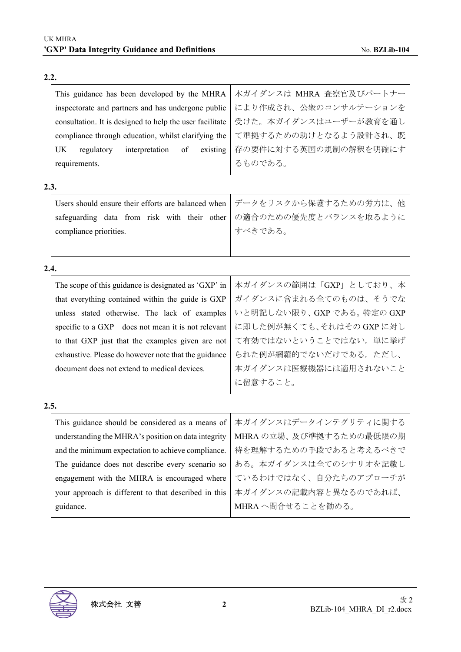| ۰,<br>× | ۰. |
|---------|----|

| This guidance has been developed by the MHRA             | 本ガイダンスは MHRA 査察官及びパートナー |
|----------------------------------------------------------|-------------------------|
| inspectorate and partners and has undergone public       | により作成され、公衆のコンサルテーションを   |
| consultation. It is designed to help the user facilitate | 受けた。本ガイダンスはユーザーが教育を通し   |
| compliance through education, whilst clarifying the      | て準拠するための助けとなるよう設計され、既   |
| existing<br>interpretation<br>UK.<br>of<br>regulatory    | 存の要件に対する英国の規制の解釈を明確にす   |
| requirements.                                            | るものである。                 |
| 2.3.                                                     |                         |
|                                                          |                         |

| Users should ensure their efforts are balanced when   データをリスクから保護するための労力は、他 |                                                                    |
|-----------------------------------------------------------------------------|--------------------------------------------------------------------|
|                                                                             | safeguarding data from risk with their other の適合のための優先度とバランスを取るように |
| compliance priorities.                                                      | すべきである。                                                            |
|                                                                             |                                                                    |

**2.4.**

|      | The scope of this guidance is designated as 'GXP' in | 本ガイダンスの範囲は「GXP」としており、本   |
|------|------------------------------------------------------|--------------------------|
|      | that everything contained within the guide is GXP    | ガイダンスに含まれる全てのものは、そうでな    |
|      | unless stated otherwise. The lack of examples        | いと明記しない限り、GXPである。特定の GXP |
|      | specific to a GXP does not mean it is not relevant   | に即した例が無くても、それはその GXP に対し |
|      | to that GXP just that the examples given are not     | て有効ではないということではない。単に挙げ    |
|      | exhaustive. Please do however note that the guidance | られた例が網羅的でないだけである。ただし、    |
|      | document does not extend to medical devices.         | 本ガイダンスは医療機器には適用されないこと    |
|      |                                                      | に留意すること。                 |
| 2.5. |                                                      |                          |
|      | This guidance should be considered as a means of     | 本ガイダンスはデータインテグリティに関する    |
|      | understanding the MHRA's position on data integrity  | MHRA の立場、及び準拠するための最低限の期  |
|      | and the minimum expectation to achieve compliance.   | 待を理解するための手段であると考えるべきで    |
|      | The guidance does not describe every scenario so     | ある。本ガイダンスは全てのシナリオを記載し    |
|      | engagement with the MHRA is encouraged where         | ているわけではなく、自分たちのアプローチが    |
|      |                                                      |                          |

your approach is different to that described in this 本ガイダンスの記載内容と異なるのであれば、 MHRA へ問合せることを勧める。



guidance.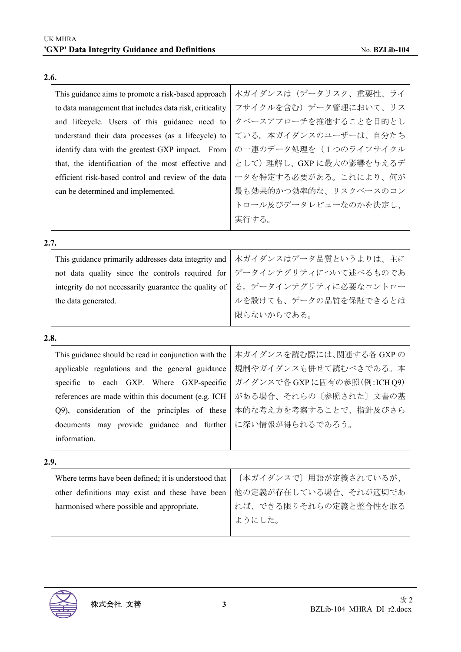| 本ガイダンスは(データリスク、重要性、ライ<br>This guidance aims to promote a risk-based approach<br>フサイクルを含む)データ管理において、リス<br>to data management that includes data risk, criticality<br>クベースアプローチを推進することを目的とし<br>and lifecycle. Users of this guidance need to<br>ている。本ガイダンスのユーザーは、自分たち<br>understand their data processes (as a lifecycle) to<br>の一連のデータ処理を (1つのライフサイクル<br>identify data with the greatest GXP impact. From<br>として)理解し、GXPに最大の影響を与えるデ<br>that, the identification of the most effective and<br>ータを特定する必要がある。これにより、何が<br>efficient risk-based control and review of the data<br>最も効果的かつ効率的な、リスクベースのコン<br>can be determined and implemented.<br>トロール及びデータレビューなのかを決定し、<br>実行する。<br>2.7.<br>本ガイダンスはデータ品質というよりは、主に<br>This guidance primarily addresses data integrity and<br>データインテグリティについて述べるものであ<br>not data quality since the controls required for<br>る。データインテグリティに必要なコントロー<br>integrity do not necessarily guarantee the quality of<br>ルを設けても、データの品質を保証できるとは<br>the data generated.<br>限らないからである。<br>2.8.<br>This guidance should be read in conjunction with the<br>本ガイダンスを読む際には、関連する各 GXP の<br>規制やガイダンスも併せて読むべきである。本<br>applicable regulations and the general guidance<br>ガイダンスで各 GXP に固有の参照(例:ICH Q9)<br>specific to each GXP. Where GXP-specific<br>がある場合、それらの〔参照された〕文書の基<br>references are made within this document (e.g. ICH<br>本的な考え方を考察することで、指針及びさら<br>Q9), consideration of the principles of these<br>に深い情報が得られるであろう。<br>documents may provide guidance and further<br>information.<br>2.9.<br>[本ガイダンスで] 用語が定義されているが、<br>Where terms have been defined; it is understood that<br>他の定義が存在している場合、それが適切であ<br>other definitions may exist and these have been<br>れば、できる限りそれらの定義と整合性を取る<br>harmonised where possible and appropriate.<br>ようにした。 |  |
|------------------------------------------------------------------------------------------------------------------------------------------------------------------------------------------------------------------------------------------------------------------------------------------------------------------------------------------------------------------------------------------------------------------------------------------------------------------------------------------------------------------------------------------------------------------------------------------------------------------------------------------------------------------------------------------------------------------------------------------------------------------------------------------------------------------------------------------------------------------------------------------------------------------------------------------------------------------------------------------------------------------------------------------------------------------------------------------------------------------------------------------------------------------------------------------------------------------------------------------------------------------------------------------------------------------------------------------------------------------------------------------------------------------------------------------------------------------------------------------------------------------------------------------------------------------------------------------------------------------------------------------------------------------------------------------------------------------------------------------------------|--|
|                                                                                                                                                                                                                                                                                                                                                                                                                                                                                                                                                                                                                                                                                                                                                                                                                                                                                                                                                                                                                                                                                                                                                                                                                                                                                                                                                                                                                                                                                                                                                                                                                                                                                                                                                      |  |
|                                                                                                                                                                                                                                                                                                                                                                                                                                                                                                                                                                                                                                                                                                                                                                                                                                                                                                                                                                                                                                                                                                                                                                                                                                                                                                                                                                                                                                                                                                                                                                                                                                                                                                                                                      |  |
|                                                                                                                                                                                                                                                                                                                                                                                                                                                                                                                                                                                                                                                                                                                                                                                                                                                                                                                                                                                                                                                                                                                                                                                                                                                                                                                                                                                                                                                                                                                                                                                                                                                                                                                                                      |  |
|                                                                                                                                                                                                                                                                                                                                                                                                                                                                                                                                                                                                                                                                                                                                                                                                                                                                                                                                                                                                                                                                                                                                                                                                                                                                                                                                                                                                                                                                                                                                                                                                                                                                                                                                                      |  |
|                                                                                                                                                                                                                                                                                                                                                                                                                                                                                                                                                                                                                                                                                                                                                                                                                                                                                                                                                                                                                                                                                                                                                                                                                                                                                                                                                                                                                                                                                                                                                                                                                                                                                                                                                      |  |
|                                                                                                                                                                                                                                                                                                                                                                                                                                                                                                                                                                                                                                                                                                                                                                                                                                                                                                                                                                                                                                                                                                                                                                                                                                                                                                                                                                                                                                                                                                                                                                                                                                                                                                                                                      |  |
|                                                                                                                                                                                                                                                                                                                                                                                                                                                                                                                                                                                                                                                                                                                                                                                                                                                                                                                                                                                                                                                                                                                                                                                                                                                                                                                                                                                                                                                                                                                                                                                                                                                                                                                                                      |  |
|                                                                                                                                                                                                                                                                                                                                                                                                                                                                                                                                                                                                                                                                                                                                                                                                                                                                                                                                                                                                                                                                                                                                                                                                                                                                                                                                                                                                                                                                                                                                                                                                                                                                                                                                                      |  |
|                                                                                                                                                                                                                                                                                                                                                                                                                                                                                                                                                                                                                                                                                                                                                                                                                                                                                                                                                                                                                                                                                                                                                                                                                                                                                                                                                                                                                                                                                                                                                                                                                                                                                                                                                      |  |
|                                                                                                                                                                                                                                                                                                                                                                                                                                                                                                                                                                                                                                                                                                                                                                                                                                                                                                                                                                                                                                                                                                                                                                                                                                                                                                                                                                                                                                                                                                                                                                                                                                                                                                                                                      |  |
|                                                                                                                                                                                                                                                                                                                                                                                                                                                                                                                                                                                                                                                                                                                                                                                                                                                                                                                                                                                                                                                                                                                                                                                                                                                                                                                                                                                                                                                                                                                                                                                                                                                                                                                                                      |  |
|                                                                                                                                                                                                                                                                                                                                                                                                                                                                                                                                                                                                                                                                                                                                                                                                                                                                                                                                                                                                                                                                                                                                                                                                                                                                                                                                                                                                                                                                                                                                                                                                                                                                                                                                                      |  |
|                                                                                                                                                                                                                                                                                                                                                                                                                                                                                                                                                                                                                                                                                                                                                                                                                                                                                                                                                                                                                                                                                                                                                                                                                                                                                                                                                                                                                                                                                                                                                                                                                                                                                                                                                      |  |
|                                                                                                                                                                                                                                                                                                                                                                                                                                                                                                                                                                                                                                                                                                                                                                                                                                                                                                                                                                                                                                                                                                                                                                                                                                                                                                                                                                                                                                                                                                                                                                                                                                                                                                                                                      |  |
|                                                                                                                                                                                                                                                                                                                                                                                                                                                                                                                                                                                                                                                                                                                                                                                                                                                                                                                                                                                                                                                                                                                                                                                                                                                                                                                                                                                                                                                                                                                                                                                                                                                                                                                                                      |  |
|                                                                                                                                                                                                                                                                                                                                                                                                                                                                                                                                                                                                                                                                                                                                                                                                                                                                                                                                                                                                                                                                                                                                                                                                                                                                                                                                                                                                                                                                                                                                                                                                                                                                                                                                                      |  |
|                                                                                                                                                                                                                                                                                                                                                                                                                                                                                                                                                                                                                                                                                                                                                                                                                                                                                                                                                                                                                                                                                                                                                                                                                                                                                                                                                                                                                                                                                                                                                                                                                                                                                                                                                      |  |
|                                                                                                                                                                                                                                                                                                                                                                                                                                                                                                                                                                                                                                                                                                                                                                                                                                                                                                                                                                                                                                                                                                                                                                                                                                                                                                                                                                                                                                                                                                                                                                                                                                                                                                                                                      |  |
|                                                                                                                                                                                                                                                                                                                                                                                                                                                                                                                                                                                                                                                                                                                                                                                                                                                                                                                                                                                                                                                                                                                                                                                                                                                                                                                                                                                                                                                                                                                                                                                                                                                                                                                                                      |  |
|                                                                                                                                                                                                                                                                                                                                                                                                                                                                                                                                                                                                                                                                                                                                                                                                                                                                                                                                                                                                                                                                                                                                                                                                                                                                                                                                                                                                                                                                                                                                                                                                                                                                                                                                                      |  |
|                                                                                                                                                                                                                                                                                                                                                                                                                                                                                                                                                                                                                                                                                                                                                                                                                                                                                                                                                                                                                                                                                                                                                                                                                                                                                                                                                                                                                                                                                                                                                                                                                                                                                                                                                      |  |
|                                                                                                                                                                                                                                                                                                                                                                                                                                                                                                                                                                                                                                                                                                                                                                                                                                                                                                                                                                                                                                                                                                                                                                                                                                                                                                                                                                                                                                                                                                                                                                                                                                                                                                                                                      |  |
|                                                                                                                                                                                                                                                                                                                                                                                                                                                                                                                                                                                                                                                                                                                                                                                                                                                                                                                                                                                                                                                                                                                                                                                                                                                                                                                                                                                                                                                                                                                                                                                                                                                                                                                                                      |  |
|                                                                                                                                                                                                                                                                                                                                                                                                                                                                                                                                                                                                                                                                                                                                                                                                                                                                                                                                                                                                                                                                                                                                                                                                                                                                                                                                                                                                                                                                                                                                                                                                                                                                                                                                                      |  |
|                                                                                                                                                                                                                                                                                                                                                                                                                                                                                                                                                                                                                                                                                                                                                                                                                                                                                                                                                                                                                                                                                                                                                                                                                                                                                                                                                                                                                                                                                                                                                                                                                                                                                                                                                      |  |
|                                                                                                                                                                                                                                                                                                                                                                                                                                                                                                                                                                                                                                                                                                                                                                                                                                                                                                                                                                                                                                                                                                                                                                                                                                                                                                                                                                                                                                                                                                                                                                                                                                                                                                                                                      |  |
|                                                                                                                                                                                                                                                                                                                                                                                                                                                                                                                                                                                                                                                                                                                                                                                                                                                                                                                                                                                                                                                                                                                                                                                                                                                                                                                                                                                                                                                                                                                                                                                                                                                                                                                                                      |  |
|                                                                                                                                                                                                                                                                                                                                                                                                                                                                                                                                                                                                                                                                                                                                                                                                                                                                                                                                                                                                                                                                                                                                                                                                                                                                                                                                                                                                                                                                                                                                                                                                                                                                                                                                                      |  |
|                                                                                                                                                                                                                                                                                                                                                                                                                                                                                                                                                                                                                                                                                                                                                                                                                                                                                                                                                                                                                                                                                                                                                                                                                                                                                                                                                                                                                                                                                                                                                                                                                                                                                                                                                      |  |

#### **2.6.**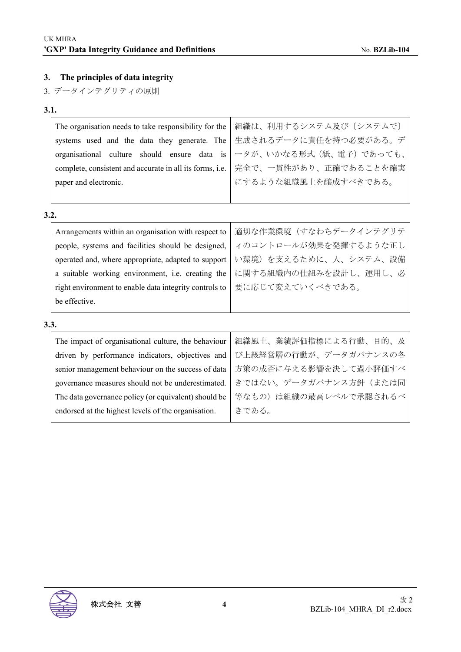## **3. The principles of data integrity**

3. データインテグリティの原則

## **3.1.**

| The organisation needs to take responsibility for the | 組織は、利用するシステム及び〔システムで〕                                                            |
|-------------------------------------------------------|----------------------------------------------------------------------------------|
|                                                       | systems used and the data they generate. The 生成されるデータに責任を持つ必要がある。デ               |
|                                                       | organisational culture should ensure data is   一タが、いかなる形式 (紙、電子) であっても、          |
|                                                       | complete, consistent and accurate in all its forms, i.e.   完全で、一貫性があり、正確であることを確実 |
| paper and electronic.                                 | にするような組織風土を醸成すべきである。                                                             |
|                                                       |                                                                                  |
| 3.2.                                                  |                                                                                  |

| be effective.                                          |                       |
|--------------------------------------------------------|-----------------------|
| right environment to enable data integrity controls to | 要に応じて変えていくべきである。      |
| a suitable working environment, i.e. creating the      | に関する組織内の仕組みを設計し、運用し、必 |
| operated and, where appropriate, adapted to support    | い環境)を支えるために、人、システム、設備 |
| people, systems and facilities should be designed,     | イのコントロールが効果を発揮するような正し |
| Arrangements within an organisation with respect to    | 適切な作業環境(すなわちデータインテグリテ |

| The impact of organisational culture, the behaviour  | 組織風土、業績評価指標による行動、目的、及 |
|------------------------------------------------------|-----------------------|
| driven by performance indicators, objectives and     | び上級経営層の行動が、データガバナンスの各 |
| senior management behaviour on the success of data   | 方策の成否に与える影響を決して過小評価すべ |
| governance measures should not be underestimated.    | きではない。データガバナンス方針(または同 |
| The data governance policy (or equivalent) should be | 等なもの)は組織の最高レベルで承認されるべ |
| endorsed at the highest levels of the organisation.  | きである。                 |
|                                                      |                       |

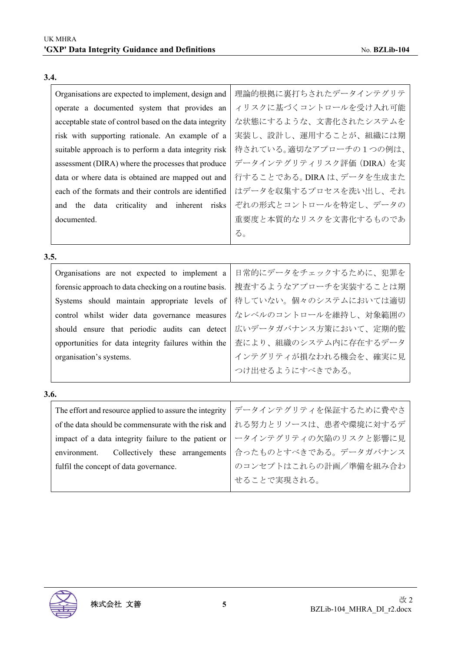|      | Organisations are expected to implement, design and     | 理論的根拠に裏打ちされたデータインテグリテ     |
|------|---------------------------------------------------------|---------------------------|
|      | operate a documented system that provides an            | ィリスクに基づくコントロールを受け入れ可能     |
|      | acceptable state of control based on the data integrity | な状態にするような、文書化されたシステムを     |
|      | risk with supporting rationale. An example of a         | 実装し、設計し、運用することが、組織には期     |
|      | suitable approach is to perform a data integrity risk   | 待されている。適切なアプローチの1つの例は、    |
|      | assessment (DIRA) where the processes that produce      | データインテグリティリスク評価 (DIRA) を実 |
|      | data or where data is obtained are mapped out and       | 行することである。DIRAは、データを生成また   |
|      | each of the formats and their controls are identified   | はデータを収集するプロセスを洗い出し、それ     |
|      | data criticality and inherent risks<br>and<br>the       | ぞれの形式とコントロールを特定し、データの     |
|      | documented.                                             | 重要度と本質的なリスクを文書化するものであ     |
|      |                                                         | る。                        |
| 3.5. |                                                         |                           |
|      |                                                         |                           |
|      | Organisations are not expected to implement a           | 日常的にデータをチェックするために、犯罪を     |
|      | forensic approach to data checking on a routine basis.  | 捜査するようなアプローチを実装することは期     |
|      | Systems should maintain appropriate levels of           | 待していない。個々のシステムにおいては適切     |
|      | control whilst wider data governance measures           | なレベルのコントロールを維持し、対象範囲の     |
|      | should ensure that periodic audits can detect           | 広いデータガバナンス方策において、定期的監     |
|      | opportunities for data integrity failures within the    | 査により、組織のシステム内に存在するデータ     |
|      | organisation's systems.                                 | インテグリティが損なわれる機会を、確実に見     |
|      |                                                         | つけ出せるようにすべきである。           |
| 3.6. |                                                         |                           |
|      | The effort and resource applied to assure the integrity | データインテグリティを保証するために費やさ     |
|      | of the data should be commensurate with the risk and    | れる努力とリソースは、患者や環境に対するデ     |
|      | impact of a data integrity failure to the patient or    | ータインテグリティの欠陥のリスクと影響に見     |
|      | environment.<br>Collectively these arrangements         | 合ったものとすべきである。データガバナンス     |

**3.4.**

fulfil the concept of data governance.

のコンセプトはこれらの計画/準備を組み合わ

せることで実現される。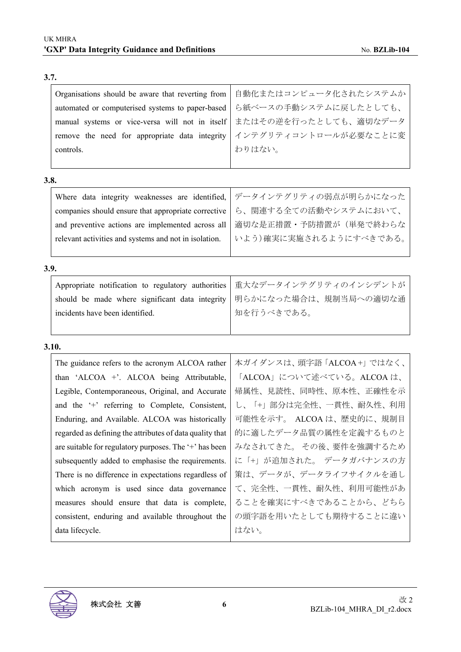| Organisations should be aware that reverting from        | 自動化またはコンピュータ化されたシステムか    |
|----------------------------------------------------------|--------------------------|
| automated or computerised systems to paper-based         | ら紙ベースの手動システムに戻したとしても、    |
| manual systems or vice-versa will not in itself          | またはその逆を行ったとしても、適切なデータ    |
| remove the need for appropriate data integrity           | インテグリティコントロールが必要なことに変    |
| controls.                                                | わりはない。                   |
|                                                          |                          |
| 3.8.                                                     |                          |
| Where data integrity weaknesses are identified,          | データインテグリティの弱点が明らかになった    |
| companies should ensure that appropriate corrective      | ら、関連する全ての活動やシステムにおいて、    |
| and preventive actions are implemented across all        | 適切な是正措置・予防措置が(単発で終わらな    |
| relevant activities and systems and not in isolation.    | いよう)確実に実施されるようにすべきである。   |
|                                                          |                          |
| 3.9.                                                     |                          |
| Appropriate notification to regulatory authorities       | 重大なデータインテグリティのインシデントが    |
| should be made where significant data integrity          | 明らかになった場合は、規制当局への適切な通    |
| incidents have been identified.                          | 知を行うべきである。               |
|                                                          |                          |
| 3.10.                                                    |                          |
| The guidance refers to the acronym ALCOA rather          | 本ガイダンスは、頭字語「ALCOA+」ではなく、 |
| than 'ALCOA +'. ALCOA being Attributable,                | 「ALCOA」について述べている。ALCOAは、 |
| Legible, Contemporaneous, Original, and Accurate         | 帰属性、見読性、同時性、原本性、正確性を示    |
| and the '+' referring to Complete, Consistent,           | し、「+」部分は完全性、一貫性、耐久性、利用   |
| Enduring, and Available. ALCOA was historically          | 可能性を示す。 ALCOA は、歴史的に、規制目 |
| regarded as defining the attributes of data quality that | 的に適したデータ品質の属性を定義するものと    |
| are suitable for regulatory purposes. The '+' has been   | みなされてきた。その後、要件を強調するため    |
| subsequently added to emphasise the requirements.        | に「+」が追加された。 データガバナンスの方   |
| There is no difference in expectations regardless of     | 策は、データが、データライフサイクルを通し    |
| which acronym is used since data governance              | て、完全性、一貫性、耐久性、利用可能性があ    |
| measures should ensure that data is complete,            | ることを確実にすべきであることから、どちら    |
| consistent, enduring and available throughout the        | の頭字語を用いたとしても期待することに違い    |
| data lifecycle.                                          | はない。                     |

## **3.7.**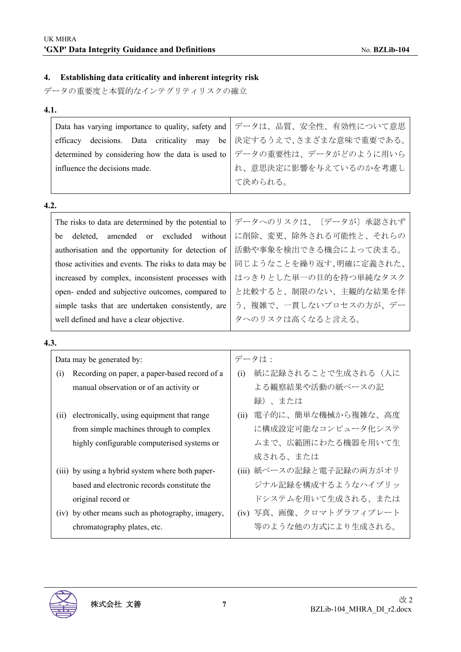## **4. Establishing data criticality and inherent integrity risk**

データの重要度と本質的なインテグリティリスクの確立

| $\sim$ | v<br>۰. |
|--------|---------|

|                                                                           | Data has varying importance to quality, safety and   データは、品質、安全性、有効性について意思 |
|---------------------------------------------------------------------------|----------------------------------------------------------------------------|
|                                                                           | efficacy decisions. Data criticality may be 決定するうえで、さまざまな意味で重要である。         |
| determined by considering how the data is used to   データの重要性は、データがどのように用いら |                                                                            |
| influence the decisions made.                                             | れ、意思決定に影響を与えているのかを考慮し                                                      |
|                                                                           | て決められる。                                                                    |
|                                                                           |                                                                            |

#### **4.2.**

| The risks to data are determined by the potential to  | データへのリスクは、〔データが〕承認されず  |
|-------------------------------------------------------|------------------------|
| deleted, amended or excluded without<br>be            | に削除、変更、除外される可能性と、それらの  |
| authorisation and the opportunity for detection of    | 活動や事象を検出できる機会によって決まる。  |
| those activities and events. The risks to data may be | 同じようなことを繰り返す、明確に定義された、 |
| increased by complex, inconsistent processes with     | はっきりとした単一の目的を持つ単純なタスク  |
| open- ended and subjective outcomes, compared to      | と比較すると、制限のない、主観的な結果を伴  |
| simple tasks that are undertaken consistently, are    | う、複雑で、一貫しないプロセスの方が、デー  |
| well defined and have a clear objective.              | タへのリスクは高くなると言える。       |
|                                                       |                        |

#### **4.3.**

| Data may be generated by: |                                                  | データは: |                          |
|---------------------------|--------------------------------------------------|-------|--------------------------|
| (i)                       | Recording on paper, a paper-based record of a    | (i)   | 紙に記録されることで生成される(人に       |
|                           | manual observation or of an activity or          |       | よる観察結果や活動の紙ベースの記         |
|                           |                                                  |       | 録)、または                   |
| (ii)                      | electronically, using equipment that range       | (ii)  | 電子的に、簡単な機械から複雑な、高度       |
|                           | from simple machines through to complex          |       | に構成設定可能なコンピュータ化システ       |
|                           | highly configurable computerised systems or      |       | ムまで、広範囲にわたる機器を用いて生       |
|                           |                                                  |       | 成される、または                 |
|                           | (iii) by using a hybrid system where both paper- |       | (iii) 紙ベースの記録と電子記録の両方がオリ |
|                           | based and electronic records constitute the      |       | ジナル記録を構成するようなハイブリッ       |
|                           | original record or                               |       | ドシステムを用いて生成される、または       |
| (iv)                      | by other means such as photography, imagery,     |       | (iv) 写真、画像、クロマトグラフィプレート  |
|                           | chromatography plates, etc.                      |       | 等のような他の方式により生成される。       |

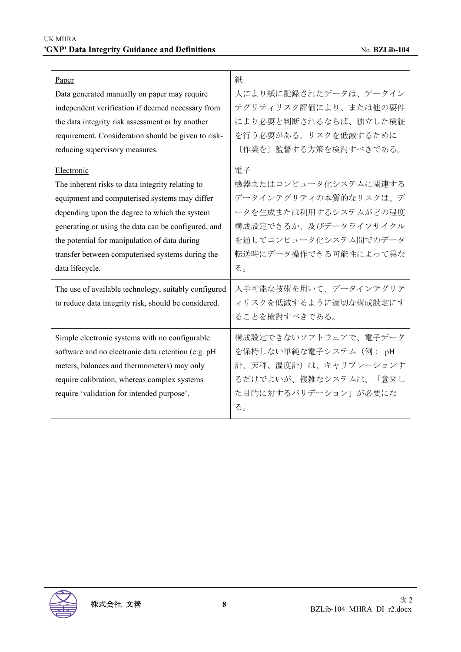$\mathbf{r}$ 

| Paper                                                | 紙                      |
|------------------------------------------------------|------------------------|
| Data generated manually on paper may require         | 人により紙に記録されたデータは、データイン  |
| independent verification if deemed necessary from    | テグリティリスク評価により、または他の要件  |
| the data integrity risk assessment or by another     | により必要と判断されるならば、独立した検証  |
| requirement. Consideration should be given to risk-  | を行う必要がある。リスクを低減するために   |
| reducing supervisory measures.                       | [作業を] 監督する方策を検討すべきである。 |
| Electronic                                           | 電子                     |
| The inherent risks to data integrity relating to     | 機器またはコンピュータ化システムに関連する  |
| equipment and computerised systems may differ        | データインテグリティの本質的なリスクは、デ  |
| depending upon the degree to which the system        | ータを生成または利用するシステムがどの程度  |
| generating or using the data can be configured, and  | 構成設定できるか、及びデータライフサイクル  |
| the potential for manipulation of data during        | を通してコンピュータ化システム間でのデータ  |
| transfer between computerised systems during the     | 転送時にデータ操作できる可能性によって異な  |
| data lifecycle.                                      | る。                     |
| The use of available technology, suitably configured | 入手可能な技術を用いて、データインテグリテ  |
| to reduce data integrity risk, should be considered. | ィリスクを低減するように適切な構成設定にす  |
|                                                      | ることを検討すべきである。          |
| Simple electronic systems with no configurable       | 構成設定できないソフトウェアで、電子データ  |
| software and no electronic data retention (e.g. pH   | を保持しない単純な電子システム (例: pH |
| meters, balances and thermometers) may only          | 計、天秤、温度計)は、キャリブレーションす  |
| require calibration, whereas complex systems         | るだけでよいが、複雑なシステムは、「意図し  |
| require 'validation for intended purpose'.           | た目的に対するバリデーション」が必要にな   |
|                                                      | る。                     |

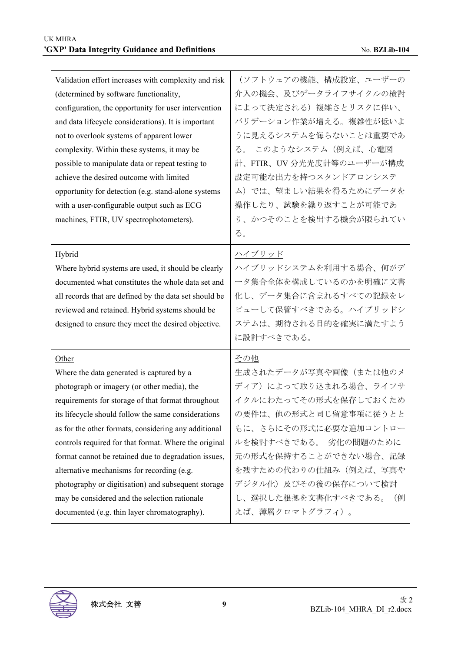| (ソフトウェアの機能、構成設定、ユーザーの<br>介入の機会、及びデータライフサイクルの検討<br>によって決定される)複雑さとリスクに伴い、<br>バリデーション作業が増える。複雑性が低いよ<br>うに見えるシステムを侮らないことは重要であ<br>る。 このようなシステム (例えば、心電図<br>計、FTIR、UV 分光光度計等のユーザーが構成<br>設定可能な出力を持つスタンドアロンシステ<br>ム)では、望ましい結果を得るためにデータを<br>操作したり、試験を繰り返すことが可能であ<br>り、かつそのことを検出する機会が限られてい<br>る。 |
|----------------------------------------------------------------------------------------------------------------------------------------------------------------------------------------------------------------------------------------------------------------------------------------|
| ハイブリッド<br>ハイブリッドシステムを利用する場合、何がデ<br>ータ集合全体を構成しているのかを明確に文書<br>化し、データ集合に含まれるすべての記録をレ<br>ビューして保管すべきである。ハイブリッドシ<br>ステムは、期待される目的を確実に満たすよう<br>に設計すべきである。                                                                                                                                      |
| その他<br>生成されたデータが写真や画像(または他のメ<br>ディア)によって取り込まれる場合、ライフサ<br>イクルにわたってその形式を保存しておくため<br>の要件は、他の形式と同じ留意事項に従うとと<br>もに、さらにその形式に必要な追加コントロー<br>ルを検討すべきである。 劣化の問題のために<br>元の形式を保持することができない場合、記録<br>を残すための代わりの仕組み(例えば、写真や<br>デジタル化)及びその後の保存について検討<br>し、選択した根拠を文書化すべきである。<br>(例                       |
|                                                                                                                                                                                                                                                                                        |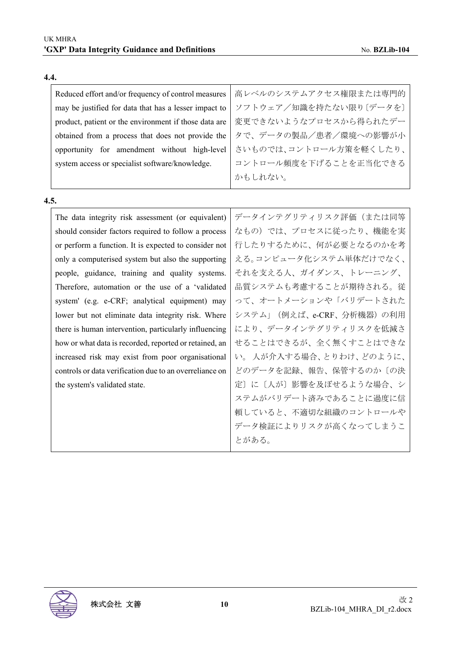| Reduced effort and/or frequency of control measures   | 高レベルのシステムアクセス権限または専門的  |
|-------------------------------------------------------|------------------------|
| may be justified for data that has a lesser impact to | ソフトウェア/知識を持たない限り〔データを〕 |
| product, patient or the environment if those data are | 変更できないようなプロセスから得られたデー  |
| obtained from a process that does not provide the     | タで、データの製品/患者/環境への影響が小  |
| opportunity for amendment without high-level          | さいものでは、コントロール方策を軽くしたり、 |
| system access or specialist software/knowledge.       | コントロール頻度を下げることを正当化できる  |
|                                                       | かもしれない。                |
|                                                       |                        |

**4.5.**

**4.4.**

| 5.                                                      |                          |
|---------------------------------------------------------|--------------------------|
| The data integrity risk assessment (or equivalent)      | データインテグリティリスク評価(または同等    |
| should consider factors required to follow a process    | なもの)では、プロセスに従ったり、機能を実    |
| or perform a function. It is expected to consider not   | 行したりするために、何が必要となるのかを考    |
| only a computerised system but also the supporting      | える。コンピュータ化システム単体だけでなく、   |
| people, guidance, training and quality systems.         | それを支える人、ガイダンス、トレーニング、    |
| Therefore, automation or the use of a 'validated        | 品質システムも考慮することが期待される。従    |
| system' (e.g. e-CRF; analytical equipment) may          | って、オートメーションや「バリデートされた    |
| lower but not eliminate data integrity risk. Where      | システム」(例えば、e-CRF、分析機器)の利用 |
| there is human intervention, particularly influencing   | により、データインテグリティリスクを低減さ    |
| how or what data is recorded, reported or retained, an  | せることはできるが、全く無くすことはできな    |
| increased risk may exist from poor organisational       | い。人が介入する場合、とりわけ、どのように、   |
| controls or data verification due to an overreliance on | どのデータを記録、報告、保管するのか〔の決    |
| the system's validated state.                           | 定〕に〔人が〕影響を及ぼせるような場合、シ    |
|                                                         | ステムがバリデート済みであることに過度に信    |
|                                                         | 頼していると、不適切な組織のコントロールや    |
|                                                         | データ検証によりリスクが高くなってしまうこ    |
|                                                         | とがある。                    |

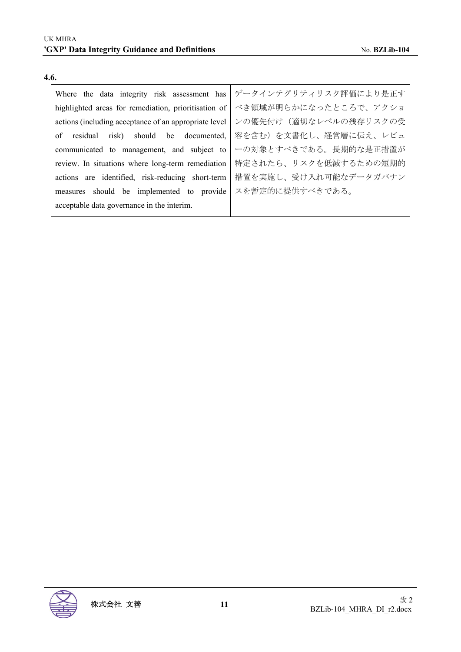| Where the data integrity risk assessment has          | データインテグリティリスク評価により是正す |
|-------------------------------------------------------|-----------------------|
| highlighted areas for remediation, prioritisation of  | べき領域が明らかになったところで、アクショ |
| actions (including acceptance of an appropriate level | ンの優先付け(適切なレベルの残存リスクの受 |
| of residual risk) should be documented,               | 容を含む)を文書化し、経営層に伝え、レビュ |
| communicated to management, and subject to            | ーの対象とすべきである。長期的な是正措置が |
| review. In situations where long-term remediation     | 特定されたら、リスクを低減するための短期的 |
| actions are identified, risk-reducing short-term      | 措置を実施し、受け入れ可能なデータガバナン |
| measures should be implemented to provide             | スを暫定的に提供すべきである。       |
| acceptable data governance in the interim.            |                       |

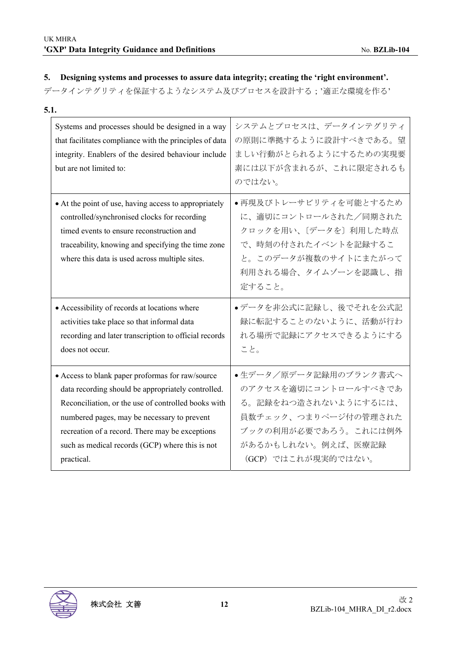#### **5. Designing systems and processes to assure data integrity; creating the 'right environment'.**

データインテグリティを保証するようなシステム及びプロセスを設計する;'適正な環境を作る'

| 5.1.                                                                                                                                                                                                                                                                                                                             |                                                                                                                                                                    |
|----------------------------------------------------------------------------------------------------------------------------------------------------------------------------------------------------------------------------------------------------------------------------------------------------------------------------------|--------------------------------------------------------------------------------------------------------------------------------------------------------------------|
| Systems and processes should be designed in a way<br>that facilitates compliance with the principles of data<br>integrity. Enablers of the desired behaviour include<br>but are not limited to:                                                                                                                                  | システムとプロセスは、データインテグリティ<br>の原則に準拠するように設計すべきである。望<br>ましい行動がとられるようにするための実現要<br>素には以下が含まれるが、これに限定されるも<br>のではない。                                                         |
| • At the point of use, having access to appropriately<br>controlled/synchronised clocks for recording<br>timed events to ensure reconstruction and<br>traceability, knowing and specifying the time zone<br>where this data is used across multiple sites.                                                                       | ●再現及びトレーサビリティを可能とするため<br>に、適切にコントロールされた/同期された<br>クロックを用い、〔データを〕利用した時点<br>で、時刻の付されたイベントを記録するこ<br>と。このデータが複数のサイトにまたがって<br>利用される場合、タイムゾーンを認識し、指<br>定すること。             |
| • Accessibility of records at locations where<br>activities take place so that informal data<br>recording and later transcription to official records<br>does not occur.                                                                                                                                                         | ●データを非公式に記録し、後でそれを公式記<br>録に転記することのないように、活動が行わ<br>れる場所で記録にアクセスできるようにする<br>こと。                                                                                       |
| • Access to blank paper proformas for raw/source<br>data recording should be appropriately controlled.<br>Reconciliation, or the use of controlled books with<br>numbered pages, may be necessary to prevent<br>recreation of a record. There may be exceptions<br>such as medical records (GCP) where this is not<br>practical. | ●生データ/原データ記録用のブランク書式へ<br>のアクセスを適切にコントロールすべきであ<br>る。記録をねつ造されないようにするには、<br>員数チェック、つまりページ付の管理された<br>ブックの利用が必要であろう。これには例外<br>があるかもしれない。例えば、医療記録<br>(GCP) ではこれが現実的ではない。 |

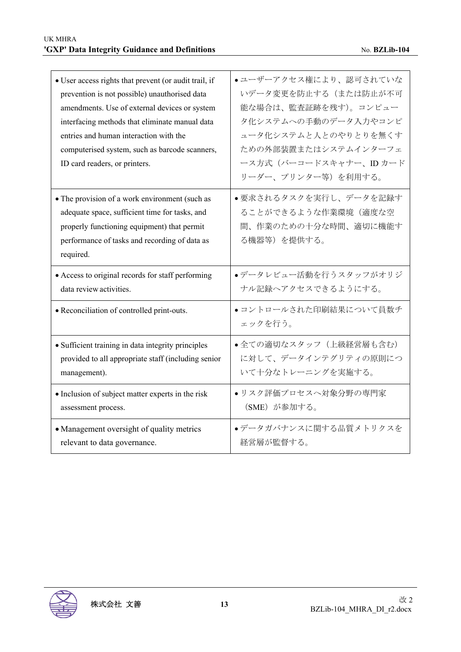| • User access rights that prevent (or audit trail, if<br>prevention is not possible) unauthorised data<br>amendments. Use of external devices or system<br>interfacing methods that eliminate manual data<br>entries and human interaction with the<br>computerised system, such as barcode scanners,<br>ID card readers, or printers. | ●ユーザーアクセス権により、認可されていな<br>いデータ変更を防止する(または防止が不可<br>能な場合は、監査証跡を残す)。コンピュー<br>タ化システムへの手動のデータ入力やコンピ<br>ュータ化システムと人とのやりとりを無くす<br>ための外部装置またはシステムインターフェ<br>ース方式 (バーコードスキャナー、IDカード<br>リーダー、プリンター等)を利用する。 |
|----------------------------------------------------------------------------------------------------------------------------------------------------------------------------------------------------------------------------------------------------------------------------------------------------------------------------------------|-----------------------------------------------------------------------------------------------------------------------------------------------------------------------------------------------|
| • The provision of a work environment (such as<br>adequate space, sufficient time for tasks, and<br>properly functioning equipment) that permit<br>performance of tasks and recording of data as<br>required.<br>• Access to original records for staff performing                                                                     | ●要求されるタスクを実行し、データを記録す<br>ることができるような作業環境(適度な空<br>間、作業のための十分な時間、適切に機能す<br>る機器等)を提供する。<br>●データレビュー活動を行うスタッフがオリジ                                                                                  |
| data review activities.                                                                                                                                                                                                                                                                                                                | ナル記録ヘアクセスできるようにする。                                                                                                                                                                            |
| • Reconciliation of controlled print-outs.                                                                                                                                                                                                                                                                                             | • コントロールされた印刷結果について員数チ<br>ェックを行う。                                                                                                                                                             |
| • Sufficient training in data integrity principles<br>provided to all appropriate staff (including senior<br>management).                                                                                                                                                                                                              | •全ての適切なスタッフ (上級経営層も含む)<br>に対して、データインテグリティの原則につ<br>いて十分なトレーニングを実施する。                                                                                                                           |
| • Inclusion of subject matter experts in the risk<br>assessment process.                                                                                                                                                                                                                                                               | ●リスク評価プロセスへ対象分野の専門家<br>(SME) が参加する。                                                                                                                                                           |
| • Management oversight of quality metrics<br>relevant to data governance.                                                                                                                                                                                                                                                              | ●データガバナンスに関する品質メトリクスを<br>経営層が監督する。                                                                                                                                                            |

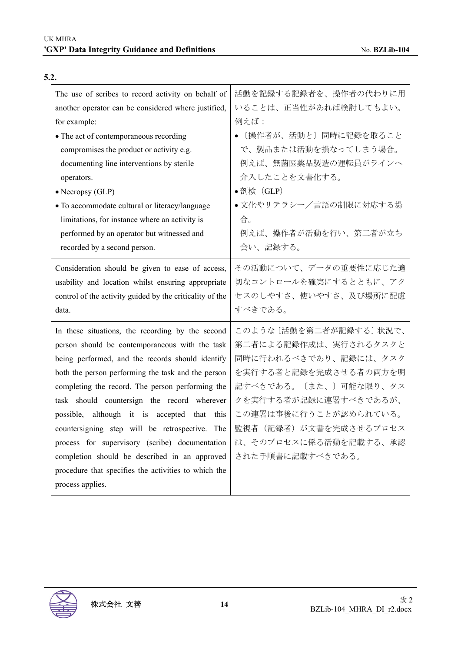| The use of scribes to record activity on behalf of       | 活動を記録する記録者を、操作者の代わりに用    |
|----------------------------------------------------------|--------------------------|
| another operator can be considered where justified,      | いることは、正当性があれば検討してもよい。    |
| for example:                                             | 例えば:                     |
| • The act of contemporaneous recording                   | [操作者が、活動と] 同時に記録を取ること    |
| compromises the product or activity e.g.                 | で、製品または活動を損なってしまう場合。     |
| documenting line interventions by sterile                | 例えば、無菌医薬品製造の運転員がラインへ     |
| operators.                                               | 介入したことを文書化する。            |
| $\bullet$ Necropsy (GLP)                                 | •剖検 $(GLP)$              |
| • To accommodate cultural or literacy/language           | •文化やリテラシー/言語の制限に対応する場    |
| limitations, for instance where an activity is           | 合。                       |
| performed by an operator but witnessed and               | 例えば、操作者が活動を行い、第二者が立ち     |
| recorded by a second person.                             | 会い、記録する。                 |
| Consideration should be given to ease of access,         | その活動について、データの重要性に応じた適    |
| usability and location whilst ensuring appropriate       | 切なコントロールを確実にするとともに、アク    |
| control of the activity guided by the criticality of the | セスのしやすさ、使いやすさ、及び場所に配慮    |
| data.                                                    | すべきである。                  |
| In these situations, the recording by the second         | このような 〔活動を第二者が記録する〕 状況で、 |
| person should be contemporaneous with the task           | 第二者による記録作成は、実行されるタスクと    |
| being performed, and the records should identify         | 同時に行われるべきであり、記録には、タスク    |
| both the person performing the task and the person       | を実行する者と記録を完成させる者の両方を明    |
| completing the record. The person performing the         | 記すべきである。〔また、〕可能な限り、タス    |
|                                                          |                          |
| task should countersign the record wherever              | クを実行する者が記録に連署すべきであるが、    |
| possible, although it is accepted that this              | この連署は事後に行うことが認められている。    |
| countersigning step will be retrospective. The           | 監視者(記録者)が文書を完成させるプロセス    |
| process for supervisory (scribe) documentation           | は、そのプロセスに係る活動を記載する、承認    |
| completion should be described in an approved            | された手順書に記載すべきである。         |
| procedure that specifies the activities to which the     |                          |

## **5.2.**

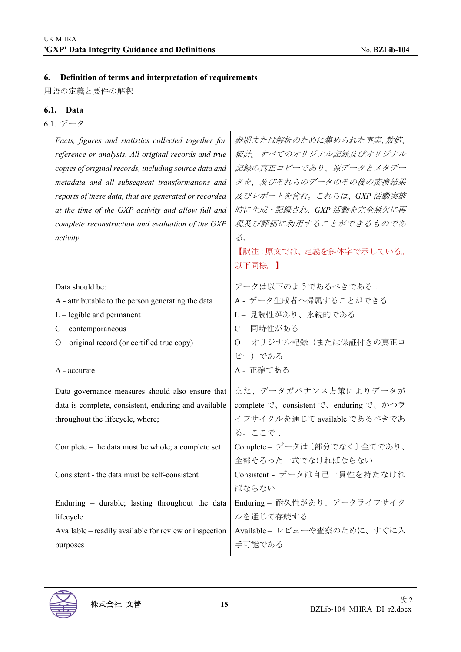## **6. Definition of terms and interpretation of requirements**

用語の定義と要件の解釈

### **6.1. Data**

6.1. データ

| Facts, figures and statistics collected together for<br>reference or analysis. All original records and true<br>copies of original records, including source data and<br>metadata and all subsequent transformations and<br>reports of these data, that are generated or recorded<br>at the time of the GXP activity and allow full and<br>complete reconstruction and evaluation of the GXP<br>activity. | 参照または解析のために集められた事実、数値、<br>統計。すべてのオリジナル記録及びオリジナル<br>記録の真正コピーであり、原データとメタデー<br>タを、及びそれらのデータのその後の変換結果<br>及びレポートを含む。これらは、GXP 活動実施<br>時に生成・記録され、GXP 活動を完全無欠に再<br>現及び評価に利用することができるものであ<br>$\mathcal{Z}_o$<br>【訳注:原文では、定義を斜体字で示している。<br>以下同様。】 |
|-----------------------------------------------------------------------------------------------------------------------------------------------------------------------------------------------------------------------------------------------------------------------------------------------------------------------------------------------------------------------------------------------------------|----------------------------------------------------------------------------------------------------------------------------------------------------------------------------------------------------------------------------------------|
| Data should be:                                                                                                                                                                                                                                                                                                                                                                                           | データは以下のようであるべきである:                                                                                                                                                                                                                     |
| A - attributable to the person generating the data                                                                                                                                                                                                                                                                                                                                                        | A - データ生成者へ帰属することができる                                                                                                                                                                                                                  |
| $L$ – legible and permanent                                                                                                                                                                                                                                                                                                                                                                               | L- 見読性があり、永続的である                                                                                                                                                                                                                       |
| $C$ – contemporaneous                                                                                                                                                                                                                                                                                                                                                                                     | C- 同時性がある                                                                                                                                                                                                                              |
| $O$ – original record (or certified true copy)                                                                                                                                                                                                                                                                                                                                                            | O- オリジナル記録 (または保証付きの真正コ                                                                                                                                                                                                                |
|                                                                                                                                                                                                                                                                                                                                                                                                           |                                                                                                                                                                                                                                        |
|                                                                                                                                                                                                                                                                                                                                                                                                           | ピー) である                                                                                                                                                                                                                                |
| A - accurate                                                                                                                                                                                                                                                                                                                                                                                              | A - 正確である                                                                                                                                                                                                                              |
|                                                                                                                                                                                                                                                                                                                                                                                                           |                                                                                                                                                                                                                                        |
| Data governance measures should also ensure that                                                                                                                                                                                                                                                                                                                                                          | また、データガバナンス方策によりデータが                                                                                                                                                                                                                   |
| data is complete, consistent, enduring and available                                                                                                                                                                                                                                                                                                                                                      | complete で、consistent で、enduring で、かつラ                                                                                                                                                                                                 |
| throughout the lifecycle, where;                                                                                                                                                                                                                                                                                                                                                                          | イフサイクルを通じて available であるべきであ                                                                                                                                                                                                           |
|                                                                                                                                                                                                                                                                                                                                                                                                           | る。ここで;                                                                                                                                                                                                                                 |
| Complete – the data must be whole; a complete set                                                                                                                                                                                                                                                                                                                                                         | Complete - データは〔部分でなく〕全てであり、                                                                                                                                                                                                           |
|                                                                                                                                                                                                                                                                                                                                                                                                           | 全部そろった一式でなければならない                                                                                                                                                                                                                      |
| Consistent - the data must be self-consistent                                                                                                                                                                                                                                                                                                                                                             | Consistent - データは自己一貫性を持たなけれ                                                                                                                                                                                                           |
|                                                                                                                                                                                                                                                                                                                                                                                                           | ばならない                                                                                                                                                                                                                                  |
| Enduring – durable; lasting throughout the data                                                                                                                                                                                                                                                                                                                                                           | Enduring - 耐久性があり、データライフサイク                                                                                                                                                                                                            |
| lifecycle                                                                                                                                                                                                                                                                                                                                                                                                 | ルを通じて存続する                                                                                                                                                                                                                              |
| Available – readily available for review or inspection<br>purposes                                                                                                                                                                                                                                                                                                                                        | Available- レビューや査察のために、すぐに入<br>手可能である                                                                                                                                                                                                  |

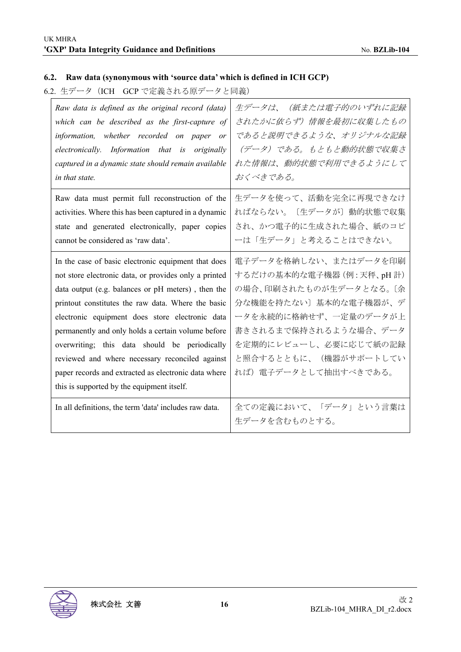## **6.2. Raw data (synonymous with 'source data' which is defined in ICH GCP)**

6.2. 生データ (ICH GCP で定義される原データと同義)

| Raw data is defined as the original record (data)                                                                                                                                                                                                                                                                                                                                                                                                                                                                                           | 生データは、 (紙または電子的のいずれに記録                                                                                                                                                                                                              |
|---------------------------------------------------------------------------------------------------------------------------------------------------------------------------------------------------------------------------------------------------------------------------------------------------------------------------------------------------------------------------------------------------------------------------------------------------------------------------------------------------------------------------------------------|-------------------------------------------------------------------------------------------------------------------------------------------------------------------------------------------------------------------------------------|
| which can be described as the first-capture of                                                                                                                                                                                                                                                                                                                                                                                                                                                                                              | されたかに依らず)情報を最初に収集したもの                                                                                                                                                                                                               |
| information, whether recorded on paper or                                                                                                                                                                                                                                                                                                                                                                                                                                                                                                   | であると説明できるような、オリジナルな記録                                                                                                                                                                                                               |
| electronically. Information that is originally                                                                                                                                                                                                                                                                                                                                                                                                                                                                                              | (データ) である。もともと動的状態で収集さ                                                                                                                                                                                                              |
| captured in a dynamic state should remain available                                                                                                                                                                                                                                                                                                                                                                                                                                                                                         | れた情報は、動的状態で利用できるようにして                                                                                                                                                                                                               |
| in that state.                                                                                                                                                                                                                                                                                                                                                                                                                                                                                                                              | おくべきである。                                                                                                                                                                                                                            |
| Raw data must permit full reconstruction of the                                                                                                                                                                                                                                                                                                                                                                                                                                                                                             | 生データを使って、活動を完全に再現できなけ                                                                                                                                                                                                               |
| activities. Where this has been captured in a dynamic                                                                                                                                                                                                                                                                                                                                                                                                                                                                                       | ればならない。〔生データが〕動的状態で収集                                                                                                                                                                                                               |
| state and generated electronically, paper copies                                                                                                                                                                                                                                                                                                                                                                                                                                                                                            | され、かつ電子的に生成された場合、紙のコピ                                                                                                                                                                                                               |
| cannot be considered as 'raw data'.                                                                                                                                                                                                                                                                                                                                                                                                                                                                                                         | ーは「生データ」と考えることはできない。                                                                                                                                                                                                                |
| In the case of basic electronic equipment that does<br>not store electronic data, or provides only a printed<br>data output (e.g. balances or pH meters), then the<br>printout constitutes the raw data. Where the basic<br>electronic equipment does store electronic data<br>permanently and only holds a certain volume before<br>overwriting; this data should be periodically<br>reviewed and where necessary reconciled against<br>paper records and extracted as electronic data where<br>this is supported by the equipment itself. | 電子データを格納しない、またはデータを印刷<br>するだけの基本的な電子機器 (例:天秤、pH 計)<br>の場合、印刷されたものが生データとなる。 〔余<br>分な機能を持たない〕基本的な電子機器が、デ<br>ータを永続的に格納せず、一定量のデータが上<br>書きされるまで保持されるような場合、データ<br>を定期的にレビューし、必要に応じて紙の記録<br>と照合するとともに、(機器がサポートしてい<br>れば) 電子データとして抽出すべきである。 |
| In all definitions, the term 'data' includes raw data.                                                                                                                                                                                                                                                                                                                                                                                                                                                                                      | 全ての定義において、「データ」という言葉は<br>生データを含むものとする。                                                                                                                                                                                              |

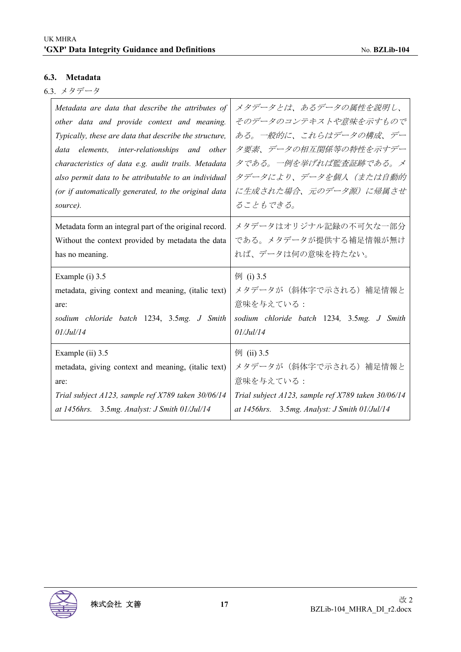#### **6.3. Metadata**

6.3. メタデータ

| Metadata are data that describe the attributes of      | メタデータとは、あるデータの属性を説明し、                              |
|--------------------------------------------------------|----------------------------------------------------|
| other data and provide context and meaning.            | そのデータのコンテキストや意味を示すもので                              |
| Typically, these are data that describe the structure, | ある。一般的に、これらはデータの構成、デー                              |
| data elements, inter-relationships and other           | タ要素、データの相互関係等の特性を示すデー                              |
| characteristics of data e.g. audit trails. Metadata    | タである。一例を挙げれば監査証跡である。メ                              |
| also permit data to be attributable to an individual   | タデータにより、データを個人(または自動的                              |
| (or if automatically generated, to the original data   | に生成された場合、元のデータ源)に帰属させ                              |
| source).                                               | ることもできる。                                           |
| Metadata form an integral part of the original record. | メタデータはオリジナル記録の不可欠な一部分                              |
| Without the context provided by metadata the data      | である。メタデータが提供する補足情報が無け                              |
| has no meaning.                                        | れば、データは何の意味を持たない。                                  |
| Example (i) 3.5                                        | 例 (i) 3.5                                          |
| metadata, giving context and meaning, (italic text)    | メタデータが(斜体字で示される)補足情報と                              |
| are:                                                   | 意味を与えている:                                          |
| sodium chloride batch 1234, 3.5mg. J Smith             | sodium chloride batch 1234, 3.5mg. J Smith         |
| $01/J$ ul/14                                           | 01/Ju1/14                                          |
| Example (ii) 3.5                                       | 例 (ii) 3.5                                         |
| metadata, giving context and meaning, (italic text)    | メタデータが(斜体字で示される)補足情報と                              |
| are:                                                   | 意味を与えている:                                          |
| Trial subject A123, sample ref X789 taken 30/06/14     | Trial subject A123, sample ref X789 taken 30/06/14 |
| at 1456hrs. 3.5mg. Analyst: J Smith 01/Jul/14          | at 1456hrs. 3.5mg. Analyst: J Smith 01/Jul/14      |

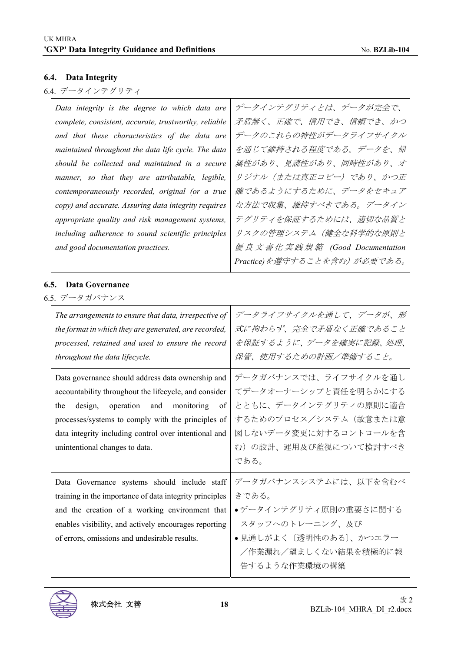## **6.4. Data Integrity**

# 6.4. データインテグリティ

| Data integrity is the degree to which data are        | データインテグリティとは、データが完全で、         |
|-------------------------------------------------------|-------------------------------|
| complete, consistent, accurate, trustworthy, reliable | 矛盾無く、正確で、信用でき、信頼でき、かつ         |
| and that these characteristics of the data are        | データのこれらの特性がデータライフサイクル         |
| maintained throughout the data life cycle. The data   | を通じて維持される程度である。データを、帰         |
| should be collected and maintained in a secure        | 属性があり、見読性があり、同時性があり、オ         |
| manner, so that they are attributable, legible,       | リジナル(または真正コピー)であり、かつ正         |
| contemporaneously recorded, original (or a true       | 確であるようにするために、データをセキュア         |
| copy) and accurate. Assuring data integrity requires  | な方法で収集、維持すべきである。データイン         |
| appropriate quality and risk management systems,      | テグリティを保証するためには、適切な品質と         |
| including adherence to sound scientific principles    | リスクの管理システム(健全な科学的な原則と         |
| and good documentation practices.                     | 優良文書化実践規範 (Good Documentation |
|                                                       | Practice)を遵守することを含む)が必要である。   |

#### **6.5. Data Governance**

6.5. データガバナンス

| The arrangements to ensure that data, irrespective of<br>the format in which they are generated, are recorded,<br>processed, retained and used to ensure the record<br>throughout the data lifecycle.                                                                                                        | データライフサイクルを通して、データが、形<br>式に拘わらず、完全で矛盾なく正確であること<br>を保証するように、データを確実に記録、処理、<br>保管、使用するための計画/準備すること。                                                           |
|--------------------------------------------------------------------------------------------------------------------------------------------------------------------------------------------------------------------------------------------------------------------------------------------------------------|------------------------------------------------------------------------------------------------------------------------------------------------------------|
| Data governance should address data ownership and<br>accountability throughout the lifecycle, and consider<br>design, operation and monitoring<br>of<br>the<br>processes/systems to comply with the principles of<br>data integrity including control over intentional and<br>unintentional changes to data. | データガバナンスでは、ライフサイクルを通し<br>てデータオーナーシップと責任を明らかにする<br>とともに、データインテグリティの原則に適合<br>するためのプロセス/システム(故意または意<br>図しないデータ変更に対するコントロールを含<br>む)の設計、運用及び監視について検討すべき<br>である。 |
| Data Governance systems should include staff<br>training in the importance of data integrity principles<br>and the creation of a working environment that<br>enables visibility, and actively encourages reporting<br>of errors, omissions and undesirable results.                                          | データガバナンスシステムには、以下を含むべ<br>きである。<br>●データインテグリティ原則の重要さに関する<br>スタッフへのトレーニング、及び<br>●見通しがよく〔透明性のある〕、かつエラー<br>/作業漏れ/望ましくない結果を積極的に報<br>告するような作業環境の構築               |

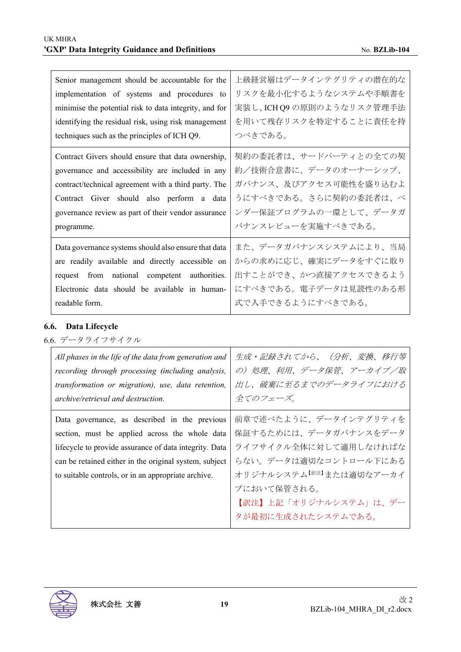| Senior management should be accountable for the<br>implementation of systems and procedures to<br>minimise the potential risk to data integrity, and for<br>identifying the residual risk, using risk management<br>techniques such as the principles of ICH Q9. | 上級経営層はデータインテグリティの潜在的な<br>リスクを最小化するようなシステムや手順書を<br>実装し、ICH Q9 の原則のようなリスク管理手法<br>を用いて残存リスクを特定することに責任を持<br>つべきである。 |
|------------------------------------------------------------------------------------------------------------------------------------------------------------------------------------------------------------------------------------------------------------------|-----------------------------------------------------------------------------------------------------------------|
| Contract Givers should ensure that data ownership,                                                                                                                                                                                                               | 契約の委託者は、サードパーティとの全ての契                                                                                           |
| governance and accessibility are included in any                                                                                                                                                                                                                 | 約/技術合意書に、データのオーナーシップ、                                                                                           |
| contract/technical agreement with a third party. The                                                                                                                                                                                                             | ガバナンス、及びアクセス可能性を盛り込むよ                                                                                           |
| Contract Giver should also perform a data                                                                                                                                                                                                                        | うにすべきである。さらに契約の委託者は、べ                                                                                           |
| governance review as part of their vendor assurance                                                                                                                                                                                                              | ンダー保証プログラムの一環として、データガ                                                                                           |
| programme.                                                                                                                                                                                                                                                       | バナンスレビューを実施すべきである。                                                                                              |
| Data governance systems should also ensure that data                                                                                                                                                                                                             | また、データガバナンスシステムにより、当局                                                                                           |
| are readily available and directly accessible on                                                                                                                                                                                                                 | からの求めに応じ、確実にデータをすぐに取り                                                                                           |
| request from national competent authorities.                                                                                                                                                                                                                     | 出すことができ、かつ直接アクセスできるよう                                                                                           |
| Electronic data should be available in human-                                                                                                                                                                                                                    | にすべきである。電子データは見読性のある形                                                                                           |
| readable form.                                                                                                                                                                                                                                                   | 式で入手できるようにすべきである。                                                                                               |

### **6.6. Data Lifecycle**

6.6. データライフサイクル

| All phases in the life of the data from generation and<br>recording through processing (including analysis,<br>transformation or migration), use, data retention,<br><i>archive/retrieval and destruction.</i> | 生成・記録されてから、 (分析、変換、移行等<br>の)処理、利用、データ保管、アーカイブ/取<br>出し、破棄に至るまでのデータライフにおける<br>全てのフェーズ。 |
|----------------------------------------------------------------------------------------------------------------------------------------------------------------------------------------------------------------|--------------------------------------------------------------------------------------|
| Data governance, as described in the previous                                                                                                                                                                  | 前章で述べたように、データインテグリティを                                                                |
| section, must be applied across the whole data                                                                                                                                                                 | 保証するためには、データガバナンスをデータ                                                                |
| lifecycle to provide assurance of data integrity. Data                                                                                                                                                         | ライフサイクル全体に対して適用しなければな                                                                |
| can be retained either in the original system, subject                                                                                                                                                         | らない。データは適切なコントロール下にある                                                                |
| to suitable controls, or in an appropriate archive.                                                                                                                                                            | オリジナルシステム <sup>【訳注】</sup> または適切なアーカイ                                                 |
|                                                                                                                                                                                                                | ブにおいて保管される。                                                                          |
|                                                                                                                                                                                                                | 【訳注】上記「オリジナルシステム」は、 デー                                                               |
|                                                                                                                                                                                                                | タが最初に生成されたシステムである。                                                                   |

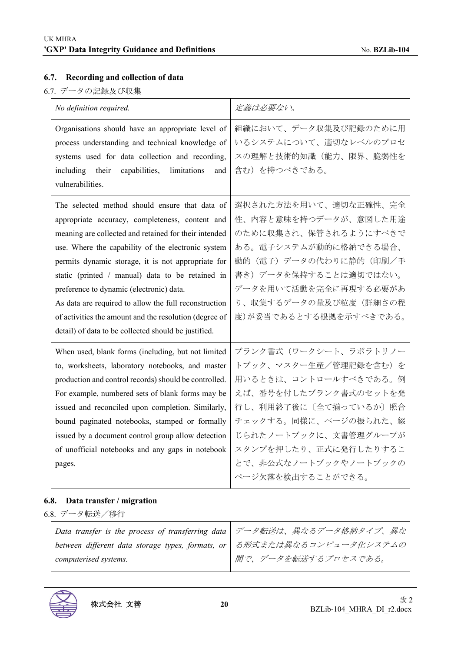## **6.7. Recording and collection of data**

6.7. データの記録及び収集

| No definition required.                                                                                                                                                                                                                                                                                                                                                                                                                                                                                                                           | 定義は必要ない。                                                                                                                                                                                                                                           |
|---------------------------------------------------------------------------------------------------------------------------------------------------------------------------------------------------------------------------------------------------------------------------------------------------------------------------------------------------------------------------------------------------------------------------------------------------------------------------------------------------------------------------------------------------|----------------------------------------------------------------------------------------------------------------------------------------------------------------------------------------------------------------------------------------------------|
| Organisations should have an appropriate level of<br>process understanding and technical knowledge of<br>systems used for data collection and recording,<br>including their<br>capabilities,<br>limitations<br>and<br>vulnerabilities.                                                                                                                                                                                                                                                                                                            | 組織において、データ収集及び記録のために用<br>いるシステムについて、適切なレベルのプロセ<br>スの理解と技術的知識(能力、限界、脆弱性を<br>含む)を持つべきである。                                                                                                                                                            |
| The selected method should ensure that data of<br>appropriate accuracy, completeness, content and<br>meaning are collected and retained for their intended<br>use. Where the capability of the electronic system<br>permits dynamic storage, it is not appropriate for<br>static (printed / manual) data to be retained in<br>preference to dynamic (electronic) data.<br>As data are required to allow the full reconstruction<br>of activities the amount and the resolution (degree of<br>detail) of data to be collected should be justified. | 選択された方法を用いて、適切な正確性、完全<br>性、内容と意味を持つデータが、意図した用途<br>のために収集され、保管されるようにすべきで<br>ある。電子システムが動的に格納できる場合、<br>動的(電子)データの代わりに静的(印刷/手<br>書き)データを保持することは適切ではない。<br>データを用いて活動を完全に再現する必要があ<br>り、収集するデータの量及び粒度(詳細さの程<br>度)が妥当であるとする根拠を示すべきである。                     |
| When used, blank forms (including, but not limited<br>to, worksheets, laboratory notebooks, and master<br>production and control records) should be controlled.<br>For example, numbered sets of blank forms may be<br>issued and reconciled upon completion. Similarly,<br>bound paginated notebooks, stamped or formally<br>issued by a document control group allow detection<br>of unofficial notebooks and any gaps in notebook<br>pages.                                                                                                    | ブランク書式(ワークシート、ラボラトリノー<br>トブック、マスター生産/管理記録を含む)を<br>用いるときは、コントロールすべきである。例<br>えば、番号を付したブランク書式のセットを発<br>行し、利用終了後に〔全て揃っているか〕照合<br>チェックする。同様に、ページの振られた、綴<br>じられたノートブックに、文書管理グループが<br>スタンプを押したり、正式に発行したりするこ<br>とで、非公式なノートブックやノートブックの<br>ページ欠落を検出することができる。 |

#### **6.8. Data transfer / migration**

6.8. データ転送/移行

|                       | Data transfer is the process of transferring data   データ転送は、異なるデータ格納タイプ、異な |
|-----------------------|---------------------------------------------------------------------------|
|                       | between different data storage types, formats, or   る形式または異なるコンピュータ化システムの |
| computerised systems. | 間で、データを転送するプロセスである。                                                       |

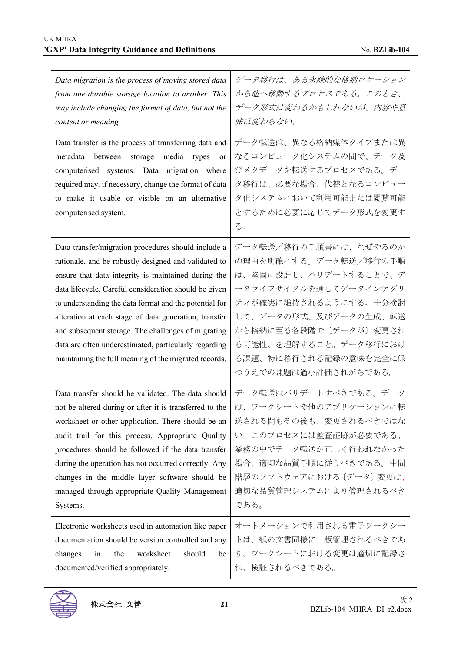| Data migration is the process of moving stored data<br>from one durable storage location to another. This<br>may include changing the format of data, but not the<br>content or meaning.<br>Data transfer is the process of transferring data and<br>metadata between<br>storage<br>media<br>types<br><sub>or</sub><br>computerised systems. Data migration where<br>required may, if necessary, change the format of data<br>to make it usable or visible on an alternative<br>computerised system.                    | データ移行は、ある永続的な格納ロケーション<br>から他へ移動するプロセスである。このとき、<br>データ形式は変わるかもしれないが、内容や意<br>味は変わらない。<br>データ転送は、異なる格納媒体タイプまたは異<br>なるコンピュータ化システムの間で、データ及<br>びメタデータを転送するプロセスである。デー<br>タ移行は、必要な場合、代替となるコンピュー<br>タ化システムにおいて利用可能または閲覧可能<br>とするために必要に応じてデータ形式を変更す<br>る。       |
|-------------------------------------------------------------------------------------------------------------------------------------------------------------------------------------------------------------------------------------------------------------------------------------------------------------------------------------------------------------------------------------------------------------------------------------------------------------------------------------------------------------------------|-------------------------------------------------------------------------------------------------------------------------------------------------------------------------------------------------------------------------------------------------------|
| Data transfer/migration procedures should include a<br>rationale, and be robustly designed and validated to<br>ensure that data integrity is maintained during the<br>data lifecycle. Careful consideration should be given<br>to understanding the data format and the potential for<br>alteration at each stage of data generation, transfer<br>and subsequent storage. The challenges of migrating<br>data are often underestimated, particularly regarding<br>maintaining the full meaning of the migrated records. | データ転送/移行の手順書には、なぜやるのか<br>の理由を明確にする。データ転送/移行の手順<br>は、堅固に設計し、バリデートすることで、デ<br>ータライフサイクルを通してデータインテグリ<br>ティが確実に維持されるようにする。十分検討<br>して、データの形式、及びデータの生成、転送<br>から格納に至る各段階で〔データが〕変更され<br>る可能性、を理解すること。データ移行におけ<br>る課題、特に移行される記録の意味を完全に保<br>つうえでの課題は過小評価されがちである。 |
| Data transfer should be validated. The data should<br>not be altered during or after it is transferred to the<br>worksheet or other application. There should be an<br>audit trail for this process. Appropriate Quality<br>procedures should be followed if the data transfer<br>during the operation has not occurred correctly. Any<br>changes in the middle layer software should be<br>managed through appropriate Quality Management<br>Systems.                                                                  | データ転送はバリデートすべきである。データ<br>は、ワークシートや他のアプリケーションに転<br>送される間もその後も、変更されるべきではな<br>い。このプロセスには監査証跡が必要である。<br>業務の中でデータ転送が正しく行われなかった<br>場合、適切な品質手順に従うべきである。中間<br>階層のソフトウェアにおける〔データ〕変更は、<br>適切な品質管理システムにより管理されるべき<br>である。                                         |
| Electronic worksheets used in automation like paper<br>documentation should be version controlled and any<br>changes<br>worksheet<br>should<br>in<br>the<br>be<br>documented/verified appropriately.                                                                                                                                                                                                                                                                                                                    | オートメーションで利用される電子ワークシー<br>トは、紙の文書同様に、版管理されるべきであ<br>り、ワークシートにおける変更は適切に記録さ<br>れ、検証されるべきである。                                                                                                                                                              |

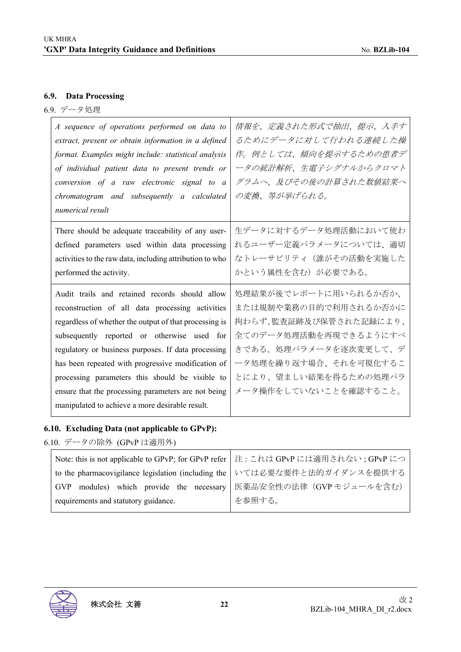#### **6.9. Data Processing**

6.9. データ処理

| A sequence of operations performed on data to<br>extract, present or obtain information in a defined<br>format. Examples might include: statistical analysis<br>of individual patient data to present trends or<br>conversion of a raw electronic signal to a<br>chromatogram and subsequently a calculated<br>numerical result                                                                                                                                                       | 情報を、定義された形式で抽出、提示、入手す<br>るためにデータに対して行われる連続した操<br>作。例としては、傾向を提示するための患者デ<br>ータの統計解析、生電子シグナルからクロマト<br>グラムへ、及びその後の計算された数値結果へ<br>の変換、等が挙げられる。                                                              |
|---------------------------------------------------------------------------------------------------------------------------------------------------------------------------------------------------------------------------------------------------------------------------------------------------------------------------------------------------------------------------------------------------------------------------------------------------------------------------------------|-------------------------------------------------------------------------------------------------------------------------------------------------------------------------------------------------------|
| There should be adequate traceability of any user-<br>defined parameters used within data processing<br>activities to the raw data, including attribution to who<br>performed the activity.                                                                                                                                                                                                                                                                                           | 生データに対するデータ処理活動において使わ<br>れるユーザー定義パラメータについては、適切<br>なトレーサビリティ(誰がその活動を実施した<br>かという属性を含む)が必要である。                                                                                                          |
| Audit trails and retained records should allow<br>reconstruction of all data processing activities<br>regardless of whether the output of that processing is<br>subsequently reported or otherwise used for<br>regulatory or business purposes. If data processing<br>has been repeated with progressive modification of<br>processing parameters this should be visible to<br>ensure that the processing parameters are not being<br>manipulated to achieve a more desirable result. | 処理結果が後でレポートに用いられるか否か、<br>または規制や業務の目的で利用されるか否かに<br>拘わらず、監査証跡及び保管された記録により、<br>全てのデータ処理活動を再現できるようにすべ<br>きである。処理パラメータを逐次変更して、デ<br>ータ処理を繰り返す場合、それを可視化するこ<br>とにより、望ましい結果を得るための処理パラ<br>メータ操作をしていないことを確認すること。 |

## **6.10. Excluding Data (not applicable to GPvP):**

6.10. データの除外 (GPvP は適用外)

| Note: this is not applicable to GPvP; for GPvP refer   注: これは GPvP には適用されない; GPvP につ |                                                                |
|--------------------------------------------------------------------------------------|----------------------------------------------------------------|
| to the pharmacovigilance legislation (including the   いては必要な要件と法的ガイダンスを提供する          |                                                                |
| <b>GVP</b>                                                                           | modules) which provide the necessary   医薬品安全性の法律 (GVPモジュールを含む) |
| requirements and statutory guidance.                                                 | を参照する。                                                         |
|                                                                                      |                                                                |

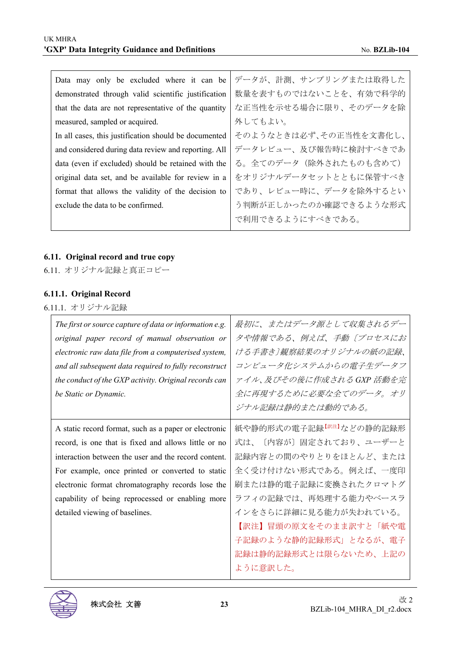| Data may only be excluded where it can be             | データが、計測、サンプリングまたは取得した  |
|-------------------------------------------------------|------------------------|
| demonstrated through valid scientific justification   | 数量を表すものではないことを、有効で科学的  |
| that the data are not representative of the quantity  | な正当性を示せる場合に限り、そのデータを除  |
| measured, sampled or acquired.                        | 外してもよい。                |
| In all cases, this justification should be documented | そのようなときは必ず、その正当性を文書化し、 |
| and considered during data review and reporting. All  | データレビュー、及び報告時に検討すべきであ  |
| data (even if excluded) should be retained with the   | る。全てのデータ(除外されたものも含めて)  |
| original data set, and be available for review in a   | をオリジナルデータセットとともに保管すべき  |
| format that allows the validity of the decision to    | であり、レビュー時に、データを除外するとい  |
| exclude the data to be confirmed.                     | う判断が正しかったのか確認できるような形式  |
|                                                       | で利用できるようにすべきである。       |
|                                                       |                        |

#### **6.11. Original record and true copy**

6.11. オリジナル記録と真正コピー

#### **6.11.1. Original Record**

6.11.1. オリジナル記録

| The first or source capture of data or information e.g.<br>original paper record of manual observation or<br>electronic raw data file from a computerised system,<br>and all subsequent data required to fully reconstruct<br>the conduct of the GXP activity. Original records can<br>be Static or Dynamic.                                                         | 最初に、またはデータ源として収集されるデー<br>タや情報である、例えば、手動〔プロセスにお<br>ける手書き〕観察結果のオリジナルの紙の記録、<br>コンピュータ化システムからの電子生データフ<br>ァイル、及びその後に作成される GXP 活動を完<br>全に再現するために必要な全てのデータ。オリ<br>ジナル記録は静的または動的である。                                                                                                       |
|----------------------------------------------------------------------------------------------------------------------------------------------------------------------------------------------------------------------------------------------------------------------------------------------------------------------------------------------------------------------|-----------------------------------------------------------------------------------------------------------------------------------------------------------------------------------------------------------------------------------------------------------------------------------|
| A static record format, such as a paper or electronic<br>record, is one that is fixed and allows little or no<br>interaction between the user and the record content.<br>For example, once printed or converted to static<br>electronic format chromatography records lose the<br>capability of being reprocessed or enabling more<br>detailed viewing of baselines. | 紙や静的形式の電子記録 <sup>【訳注】</sup> などの静的記録形<br>式は、〔内容が〕固定されており、ユーザーと<br>記録内容との間のやりとりをほとんど、または<br>全く受け付けない形式である。例えば、一度印<br>刷または静的電子記録に変換されたクロマトグ<br>ラフィの記録では、再処理する能力やベースラ<br>インをさらに詳細に見る能力が失われている。<br>【訳注】冒頭の原文をそのまま訳すと「紙や電<br>子記録のような静的記録形式」となるが、電子<br>記録は静的記録形式とは限らないため、上記の<br>ように意訳した。 |

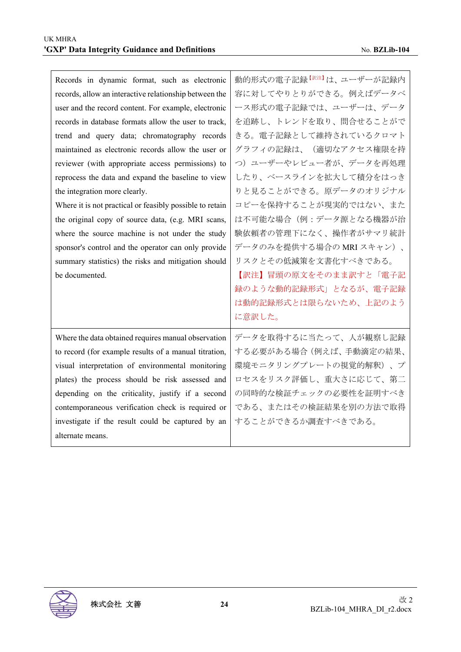| Records in dynamic format, such as electronic            | 動的形式の電子記録 <sup>【訳注】</sup> は、ユーザーが記録内 |
|----------------------------------------------------------|--------------------------------------|
| records, allow an interactive relationship between the   | 容に対してやりとりができる。例えばデータベ                |
| user and the record content. For example, electronic     | ース形式の電子記録では、ユーザーは、データ                |
| records in database formats allow the user to track,     | を追跡し、トレンドを取り、問合せることがで                |
| trend and query data; chromatography records             | きる。電子記録として維持されているクロマト                |
| maintained as electronic records allow the user or       | グラフィの記録は、(適切なアクセス権限を持                |
| reviewer (with appropriate access permissions) to        | つ) ユーザーやレビュー者が、データを再処理               |
| reprocess the data and expand the baseline to view       | したり、ベースラインを拡大して積分をはっき                |
| the integration more clearly.                            | りと見ることができる。原データのオリジナル                |
| Where it is not practical or feasibly possible to retain | コピーを保持することが現実的ではない、また                |
| the original copy of source data, (e.g. MRI scans,       | は不可能な場合(例:データ源となる機器が治                |
| where the source machine is not under the study          | 験依頼者の管理下になく、操作者がサマリ統計                |
| sponsor's control and the operator can only provide      | データのみを提供する場合の MRI スキャン)、             |
| summary statistics) the risks and mitigation should      | リスクとその低減策を文書化すべきである。                 |
| be documented.                                           | 【訳注】冒頭の原文をそのまま訳すと「電子記                |
|                                                          | 録のような動的記録形式」となるが、電子記録                |
|                                                          | は動的記録形式とは限らないため、上記のよう                |
|                                                          | に意訳した。                               |
| Where the data obtained requires manual observation      | データを取得するに当たって、人が観察し記録                |
| to record (for example results of a manual titration,    | する必要がある場合 (例えば、手動滴定の結果、              |
| visual interpretation of environmental monitoring        | 環境モニタリングプレートの視覚的解釈)、プ                |
| plates) the process should be risk assessed and          | ロセスをリスク評価し、重大さに応じて、第二                |
| depending on the criticality, justify if a second        | の同時的な検証チェックの必要性を証明すべき                |
| contemporaneous verification check is required or        | である、またはその検証結果を別の方法で取得                |
| investigate if the result could be captured by an        | することができるか調査すべきである。                   |
| alternate means.                                         |                                      |

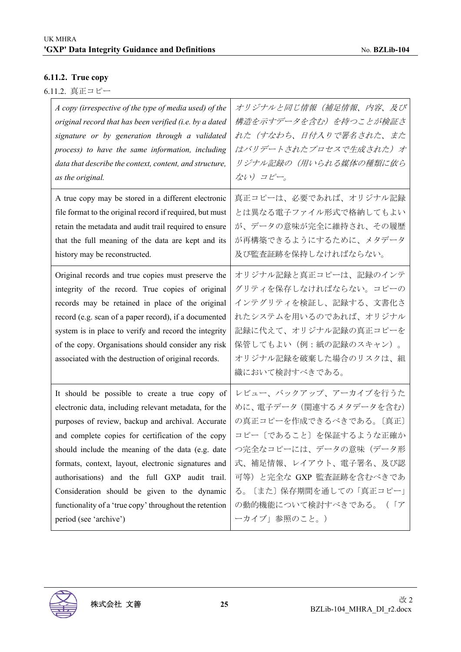# **6.11.2. True copy**

|  | 6.11.2. 真正コピー |  |
|--|---------------|--|
|--|---------------|--|

| A copy (irrespective of the type of media used) of the                                                                                                                                                                                                                                                                                                                                                                                                                                                              | オリジナルと同じ情報(補足情報、内容、及び                                                                                                                                                                                                                                                    |
|---------------------------------------------------------------------------------------------------------------------------------------------------------------------------------------------------------------------------------------------------------------------------------------------------------------------------------------------------------------------------------------------------------------------------------------------------------------------------------------------------------------------|--------------------------------------------------------------------------------------------------------------------------------------------------------------------------------------------------------------------------------------------------------------------------|
| original record that has been verified (i.e. by a dated                                                                                                                                                                                                                                                                                                                                                                                                                                                             | 構造を示すデータを含む)を持つことが検証さ                                                                                                                                                                                                                                                    |
| signature or by generation through a validated                                                                                                                                                                                                                                                                                                                                                                                                                                                                      | れた(すなわち、日付入りで署名された、また                                                                                                                                                                                                                                                    |
| process) to have the same information, including                                                                                                                                                                                                                                                                                                                                                                                                                                                                    | はバリデートされたプロセスで生成された)オ                                                                                                                                                                                                                                                    |
| data that describe the context, content, and structure,                                                                                                                                                                                                                                                                                                                                                                                                                                                             | リジナル記録の(用いられる媒体の種類に依ら                                                                                                                                                                                                                                                    |
| as the original.                                                                                                                                                                                                                                                                                                                                                                                                                                                                                                    | ない) コピー。                                                                                                                                                                                                                                                                 |
| A true copy may be stored in a different electronic                                                                                                                                                                                                                                                                                                                                                                                                                                                                 | 真正コピーは、必要であれば、オリジナル記録                                                                                                                                                                                                                                                    |
| file format to the original record if required, but must                                                                                                                                                                                                                                                                                                                                                                                                                                                            | とは異なる電子ファイル形式で格納してもよい                                                                                                                                                                                                                                                    |
| retain the metadata and audit trail required to ensure                                                                                                                                                                                                                                                                                                                                                                                                                                                              | が、データの意味が完全に維持され、その履歴                                                                                                                                                                                                                                                    |
| that the full meaning of the data are kept and its                                                                                                                                                                                                                                                                                                                                                                                                                                                                  | が再構築できるようにするために、メタデータ                                                                                                                                                                                                                                                    |
| history may be reconstructed.                                                                                                                                                                                                                                                                                                                                                                                                                                                                                       | 及び監査証跡を保持しなければならない。                                                                                                                                                                                                                                                      |
| Original records and true copies must preserve the<br>integrity of the record. True copies of original<br>records may be retained in place of the original<br>record (e.g. scan of a paper record), if a documented<br>system is in place to verify and record the integrity<br>of the copy. Organisations should consider any risk<br>associated with the destruction of original records.                                                                                                                         | オリジナル記録と真正コピーは、記録のインテ<br>グリティを保存しなければならない。コピーの<br>インテグリティを検証し、記録する、文書化さ<br>れたシステムを用いるのであれば、オリジナル<br>記録に代えて、オリジナル記録の真正コピーを<br>保管してもよい(例:紙の記録のスキャン)。<br>オリジナル記録を破棄した場合のリスクは、組<br>織において検討すべきである。                                                                            |
| It should be possible to create a true copy of<br>electronic data, including relevant metadata, for the<br>purposes of review, backup and archival. Accurate<br>and complete copies for certification of the copy<br>should include the meaning of the data (e.g. date<br>formats, context, layout, electronic signatures and<br>authorisations) and the full GXP audit trail.<br>Consideration should be given to the dynamic<br>functionality of a 'true copy' throughout the retention<br>period (see 'archive') | レビュー、バックアップ、アーカイブを行うた<br>めに、電子データ (関連するメタデータを含む)<br>の真正コピーを作成できるべきである。〔真正〕<br>コピー〔であること〕を保証するような正確か<br>つ完全なコピーには、データの意味(データ形<br>式、補足情報、レイアウト、電子署名、及び認<br>可等) と完全な GXP 監査証跡を含むべきであ<br>る。〔また〕保存期間を通しての「真正コピー」<br>の動的機能について検討すべきである。<br>$($   $\mathcal{T}$<br>ーカイブ」参照のこと。) |

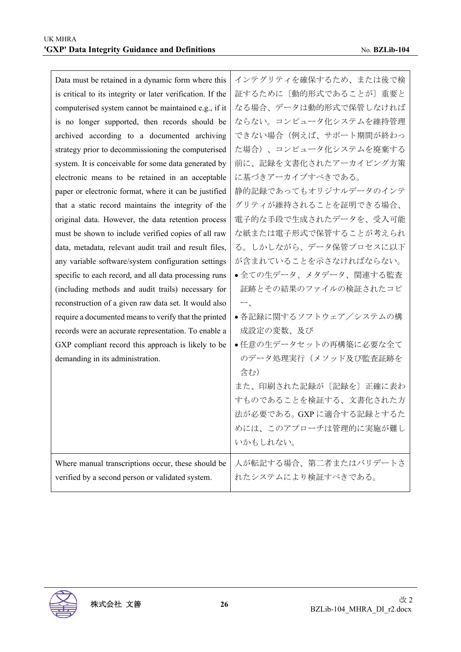| Data must be retained in a dynamic form where this         | インテグリティを確保するため、または後で検    |
|------------------------------------------------------------|--------------------------|
| is critical to its integrity or later verification. If the | 証するために〔動的形式であることが〕重要と    |
| computerised system cannot be maintained e.g., if it       | なる場合、データは動的形式で保管しなければ    |
| is no longer supported, then records should be             | ならない。コンピュータ化システムを維持管理    |
| archived according to a documented archiving               | できない場合(例えば、サポート期間が終わっ    |
| strategy prior to decommissioning the computerised         | た場合)、コンピュータ化システムを廃棄する    |
| system. It is conceivable for some data generated by       | 前に、記録を文書化されたアーカイビング方策    |
| electronic means to be retained in an acceptable           | に基づきアーカイブすべきである。         |
| paper or electronic format, where it can be justified      | 静的記録であってもオリジナルデータのインテ    |
| that a static record maintains the integrity of the        | グリティが維持されることを証明できる場合、    |
| original data. However, the data retention process         | 電子的な手段で生成されたデータを、受入可能    |
| must be shown to include verified copies of all raw        | な紙または電子形式で保管することが考えられ    |
| data, metadata, relevant audit trail and result files,     | る。しかしながら、データ保管プロセスに以下    |
| any variable software/system configuration settings        | が含まれていることを示さなければならない。    |
| specific to each record, and all data processing runs      | ●全ての生データ、メタデータ、関連する監査    |
| (including methods and audit trails) necessary for         | 証跡とその結果のファイルの検証されたコピ     |
| reconstruction of a given raw data set. It would also      | $\overline{\phantom{a}}$ |
| require a documented means to verify that the printed      | ●各記録に関するソフトウェア/システムの構    |
| records were an accurate representation. To enable a       | 成設定の変数、及び                |
| GXP compliant record this approach is likely to be         | ●任意の生データセットの再構築に必要な全て    |
| demanding in its administration.                           | のデータ処理実行(メソッド及び監査証跡を     |
|                                                            | 含む)                      |
|                                                            | また、印刷された記録が〔記録を〕正確に表わ    |
|                                                            | すものであることを検証する、文書化された方    |
|                                                            | 法が必要である。GXP に適合する記録とするた  |
|                                                            | めには、このアプローチは管理的に実施が難し    |
|                                                            | いかもしれない。                 |
| Where manual transcriptions occur, these should be         | 人が転記する場合、第二者またはバリデートさ    |
| verified by a second person or validated system.           | れたシステムにより検証すべきである。       |
|                                                            |                          |

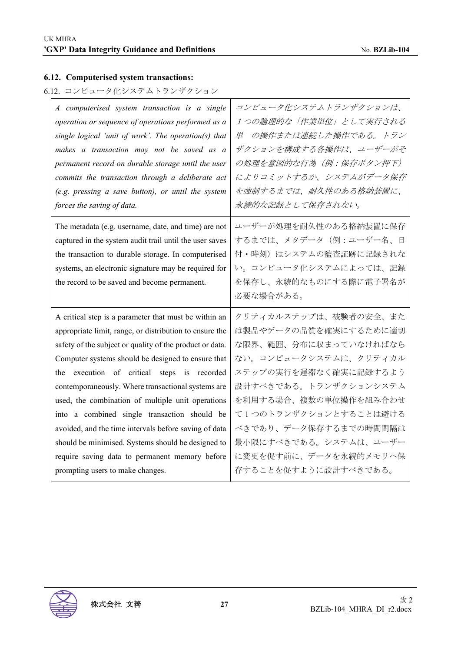## **6.12. Computerised system transactions:**

# 6.12. コンピュータ化システムトランザクション

| A computerised system transaction is a single                                                                                                                                                                                                                                  | コンピュータ化システムトランザクションは、                                                                                                                  |
|--------------------------------------------------------------------------------------------------------------------------------------------------------------------------------------------------------------------------------------------------------------------------------|----------------------------------------------------------------------------------------------------------------------------------------|
| operation or sequence of operations performed as a                                                                                                                                                                                                                             | 1つの論理的な「作業単位」として実行される                                                                                                                  |
| single logical 'unit of work'. The operation(s) that                                                                                                                                                                                                                           | 単一の操作または連続した操作である。トラン                                                                                                                  |
| makes a transaction may not be saved as a                                                                                                                                                                                                                                      | ザクションを構成する各操作は、ユーザーがそ                                                                                                                  |
| permanent record on durable storage until the user                                                                                                                                                                                                                             | の処理を意図的な行為 (例:保存ボタン押下)                                                                                                                 |
| commits the transaction through a deliberate act                                                                                                                                                                                                                               | によりコミットするか、システムがデータ保存                                                                                                                  |
| (e.g. pressing a save button), or until the system                                                                                                                                                                                                                             | を強制するまでは、耐久性のある格納装置に、                                                                                                                  |
| forces the saving of data.                                                                                                                                                                                                                                                     | 永続的な記録として保存されない。                                                                                                                       |
| The metadata (e.g. username, date, and time) are not<br>captured in the system audit trail until the user saves<br>the transaction to durable storage. In computerised<br>systems, an electronic signature may be required for<br>the record to be saved and become permanent. | ユーザーが処理を耐久性のある格納装置に保存<br>するまでは、メタデータ(例:ユーザー名、日<br>付・時刻)はシステムの監査証跡に記録されな<br>い。コンピュータ化システムによっては、記録<br>を保存し、永続的なものにする際に電子署名が<br>必要な場合がある。 |
| A critical step is a parameter that must be within an                                                                                                                                                                                                                          | クリティカルステップは、被験者の安全、また                                                                                                                  |
| appropriate limit, range, or distribution to ensure the                                                                                                                                                                                                                        | は製品やデータの品質を確実にするために適切                                                                                                                  |
| safety of the subject or quality of the product or data.                                                                                                                                                                                                                       | な限界、範囲、分布に収まっていなければなら                                                                                                                  |
| Computer systems should be designed to ensure that                                                                                                                                                                                                                             | ない。コンピュータシステムは、クリティカル                                                                                                                  |
| the execution of critical steps is recorded                                                                                                                                                                                                                                    | ステップの実行を遅滞なく確実に記録するよう                                                                                                                  |
| contemporaneously. Where transactional systems are                                                                                                                                                                                                                             | 設計すべきである。トランザクションシステム                                                                                                                  |
| used, the combination of multiple unit operations                                                                                                                                                                                                                              | を利用する場合、複数の単位操作を組み合わせ                                                                                                                  |
| into a combined single transaction should be                                                                                                                                                                                                                                   | て1つのトランザクションとすることは避ける                                                                                                                  |
| avoided, and the time intervals before saving of data                                                                                                                                                                                                                          | べきであり、データ保存するまでの時間間隔は                                                                                                                  |
| should be minimised. Systems should be designed to                                                                                                                                                                                                                             | 最小限にすべきである。システムは、ユーザー                                                                                                                  |
| require saving data to permanent memory before                                                                                                                                                                                                                                 | に変更を促す前に、データを永続的メモリへ保                                                                                                                  |
| prompting users to make changes.                                                                                                                                                                                                                                               | 存することを促すように設計すべきである。                                                                                                                   |

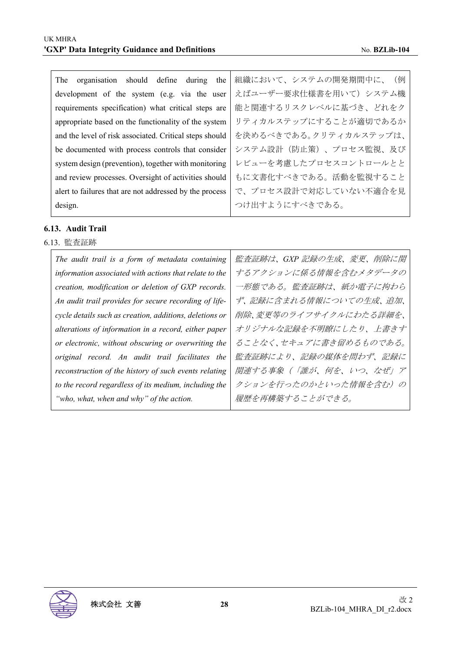| organisation should define<br>during<br>the<br>The      | 組織において、システムの開発期間中に、(例  |
|---------------------------------------------------------|------------------------|
| development of the system (e.g. via the user            | えばユーザー要求仕様書を用いて)システム機  |
| requirements specification) what critical steps are     | 能と関連するリスクレベルに基づき、どれをク  |
| appropriate based on the functionality of the system    | リティカルステップにすることが適切であるか  |
| and the level of risk associated. Critical steps should | を決めるべきである。クリティカルステップは、 |
| be documented with process controls that consider       | システム設計(防止策)、プロセス監視、及び  |
| system design (prevention), together with monitoring    | レビューを考慮したプロセスコントロールとと  |
| and review processes. Oversight of activities should    | もに文書化すべきである。活動を監視すること  |
| alert to failures that are not addressed by the process | で、プロセス設計で対応していない不適合を見  |
| design.                                                 | つけ出すようにすべきである。         |

#### **6.13. Audit Trail**

6.13. 監査証跡

 $\mathbf{r}$ 

| The audit trail is a form of metadata containing        | 監査証跡は、GXP 記録の生成、変更、削除に関 |
|---------------------------------------------------------|-------------------------|
| information associated with actions that relate to the  | するアクションに係る情報を含むメタデータの   |
| creation, modification or deletion of GXP records.      | 一形態である。監査証跡は、紙か電子に拘わら   |
| An audit trail provides for secure recording of life-   | ず、記録に含まれる情報についての生成、追加、  |
| cycle details such as creation, additions, deletions or | 削除、変更等のライフサイクルにわたる詳細を、  |
| alterations of information in a record, either paper    | オリジナルな記録を不明瞭にしたり、上書きす   |
| or electronic, without obscuring or overwriting the     | ることなく、セキュアに書き留めるものである。  |
| original record. An audit trail facilitates the         | 監査証跡により、記録の媒体を問わず、記録に   |
| reconstruction of the history of such events relating   | 関連する事象(「誰が、何を、いつ、なぜ」ア   |
| to the record regardless of its medium, including the   | クションを行ったのかといった情報を含む)の   |
| "who, what, when and why" of the action.                | 履歴を再構築することができる。         |
|                                                         |                         |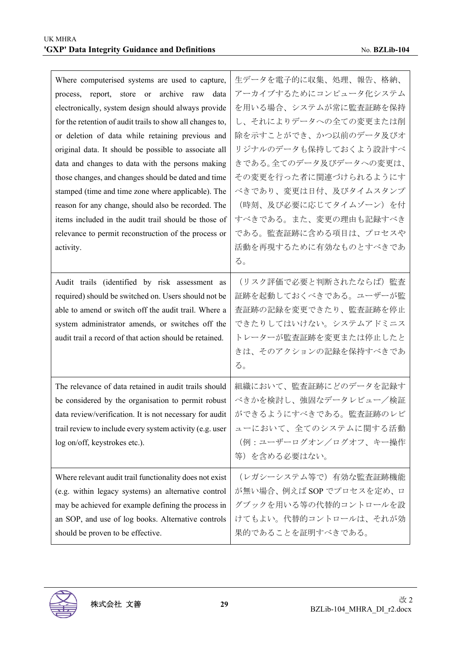| Where computerised systems are used to capture,<br>report, store or archive raw<br>data<br>process,<br>electronically, system design should always provide<br>for the retention of audit trails to show all changes to,<br>or deletion of data while retaining previous and<br>original data. It should be possible to associate all<br>data and changes to data with the persons making<br>those changes, and changes should be dated and time<br>stamped (time and time zone where applicable). The<br>reason for any change, should also be recorded. The<br>items included in the audit trail should be those of<br>relevance to permit reconstruction of the process or<br>activity. | 生データを電子的に収集、処理、報告、格納、<br>アーカイブするためにコンピュータ化システム<br>を用いる場合、システムが常に監査証跡を保持<br>し、それによりデータへの全ての変更または削<br>除を示すことができ、かつ以前のデータ及びオ<br>リジナルのデータも保持しておくよう設計すべ<br>きである。全てのデータ及びデータへの変更は、<br>その変更を行った者に関連づけられるようにす<br>べきであり、変更は日付、及びタイムスタンプ<br>(時刻、及び必要に応じてタイムゾーン)を付<br>すべきである。また、変更の理由も記録すべき<br>である。監査証跡に含める項目は、プロセスや<br>活動を再現するために有効なものとすべきであ<br>る。 |
|-------------------------------------------------------------------------------------------------------------------------------------------------------------------------------------------------------------------------------------------------------------------------------------------------------------------------------------------------------------------------------------------------------------------------------------------------------------------------------------------------------------------------------------------------------------------------------------------------------------------------------------------------------------------------------------------|------------------------------------------------------------------------------------------------------------------------------------------------------------------------------------------------------------------------------------------------------------------------------------------------------------------------------------------|
| Audit trails (identified by risk assessment as<br>required) should be switched on. Users should not be<br>able to amend or switch off the audit trail. Where a<br>system administrator amends, or switches off the<br>audit trail a record of that action should be retained.                                                                                                                                                                                                                                                                                                                                                                                                             | (リスク評価で必要と判断されたならば) 監査<br>証跡を起動しておくべきである。ユーザーが監<br>査証跡の記録を変更できたり、監査証跡を停止<br>できたりしてはいけない。システムアドミニス<br>トレーターが監査証跡を変更または停止したと<br>きは、そのアクションの記録を保持すべきであ<br>る。                                                                                                                                                                                |
| The relevance of data retained in audit trails should<br>be considered by the organisation to permit robust<br>data review/verification. It is not necessary for audit<br>trail review to include every system activity (e.g. user<br>log on/off, keystrokes etc.).                                                                                                                                                                                                                                                                                                                                                                                                                       | 組織において、監査証跡にどのデータを記録す<br>べきかを検討し、強固なデータレビュー/検証<br>ができるようにすべきである。監査証跡のレビ<br>ューにおいて、全てのシステムに関する活動<br>(例:ユーザーログオン/ログオフ、キー操作<br>等)を含める必要はない。                                                                                                                                                                                                 |
| Where relevant audit trail functionality does not exist<br>(e.g. within legacy systems) an alternative control<br>may be achieved for example defining the process in<br>an SOP, and use of log books. Alternative controls<br>should be proven to be effective.                                                                                                                                                                                                                                                                                                                                                                                                                          | (レガシーシステム等で)有効な監査証跡機能<br>が無い場合、例えば SOP でプロセスを定め、ロ<br>グブックを用いる等の代替的コントロールを設<br>けてもよい。代替的コントロールは、それが効<br>果的であることを証明すべきである。                                                                                                                                                                                                                 |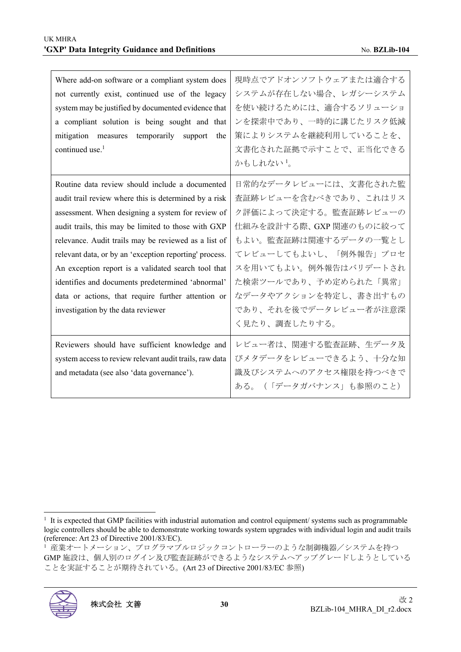| Where add-on software or a compliant system does        | 現時点でアドオンソフトウェアまたは適合する   |
|---------------------------------------------------------|-------------------------|
| not currently exist, continued use of the legacy        | システムが存在しない場合、レガシーシステム   |
| system may be justified by documented evidence that     | を使い続けるためには、適合するソリューショ   |
| a compliant solution is being sought and that           | ンを探索中であり、一時的に講じたリスク低減   |
| mitigation measures temporarily<br>support<br>the       | 策によりシステムを継続利用していることを、   |
| continued use. $1$                                      | 文書化された証拠で示すことで、正当化できる   |
|                                                         | かもしれない!。                |
| Routine data review should include a documented         | 日常的なデータレビューには、文書化された監   |
| audit trail review where this is determined by a risk   | 査証跡レビューを含むべきであり、これはリス   |
| assessment. When designing a system for review of       | ク評価によって決定する。監査証跡レビューの   |
| audit trails, this may be limited to those with GXP     | 仕組みを設計する際、GXP 関連のものに絞って |
| relevance. Audit trails may be reviewed as a list of    | もよい。監査証跡は関連するデータの一覧とし   |
| relevant data, or by an 'exception reporting' process.  | てレビューしてもよいし、「例外報告」プロセ   |
| An exception report is a validated search tool that     | スを用いてもよい。例外報告はバリデートされ   |
| identifies and documents predetermined 'abnormal'       | た検索ツールであり、予め定められた「異常」   |
| data or actions, that require further attention or      | なデータやアクションを特定し、書き出すもの   |
| investigation by the data reviewer                      | であり、それを後でデータレビュー者が注意深   |
|                                                         | く見たり、調査したりする。           |
| Reviewers should have sufficient knowledge and          | レビュー者は、関連する監査証跡、生データ及   |
| system access to review relevant audit trails, raw data | びメタデータをレビューできるよう、十分な知   |
| and metadata (see also 'data governance').              | 識及びシステムへのアクセス権限を持つべきで   |
|                                                         | ある。 (「データガバナンス」も参照のこと)  |
|                                                         |                         |

<sup>1</sup> 産業オートメーション、プログラマブルロジックコントローラーのような制御機器/システムを持つ GMP 施設は、個人別のログイン及び監査証跡ができるようなシステムへアップグレードしようとしている ことを実証することが期待されている。(Art 23 of Directive 2001/83/EC 参照)



<sup>1</sup> It is expected that GMP facilities with industrial automation and control equipment/ systems such as programmable logic controllers should be able to demonstrate working towards system upgrades with individual login and audit trails (reference: Art 23 of Directive 2001/83/EC).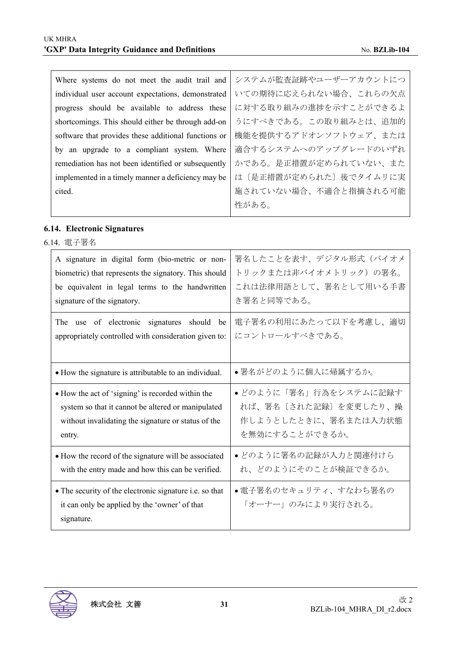| Where systems do not meet the audit trail and        | システムが監査証跡やユーザーアカウントにつ |
|------------------------------------------------------|-----------------------|
| individual user account expectations, demonstrated   | いての期待に応えられない場合、これらの欠点 |
| progress should be available to address these        | に対する取り組みの進捗を示すことができるよ |
| shortcomings. This should either be through add-on   | うにすべきである。この取り組みとは、追加的 |
| software that provides these additional functions or | 機能を提供するアドオンソフトウェア、または |
| by an upgrade to a compliant system. Where           | 適合するシステムへのアップグレードのいずれ |
| remediation has not been identified or subsequently  | かである。是正措置が定められていない、また |
| implemented in a timely manner a deficiency may be   | は〔是正措置が定められた〕後でタイムリに実 |
| cited.                                               | 施されていない場合、不適合と指摘される可能 |
|                                                      | 性がある。                 |

## **6.14. Electronic Signatures**

6.14. 電子署名

| A signature in digital form (bio-metric or non-                                                                        | 署名したことを表す、デジタル形式(バイオメ                     |
|------------------------------------------------------------------------------------------------------------------------|-------------------------------------------|
| biometric) that represents the signatory. This should                                                                  | トリックまたは非バイオメトリック)の署名。                     |
| be equivalent in legal terms to the handwritten                                                                        | これは法律用語として、署名として用いる手書                     |
| signature of the signatory.                                                                                            | き署名と同等である。                                |
| The use of electronic signatures should be                                                                             | 電子署名の利用にあたって以下を考慮し、適切                     |
| appropriately controlled with consideration given to:                                                                  | にコントロールすべきである。                            |
| • How the signature is attributable to an individual.                                                                  | ●署名がどのように個人に帰属するか。                        |
| • How the act of 'signing' is recorded within the                                                                      | • どのように「署名」行為をシステムに記録す                    |
| system so that it cannot be altered or manipulated                                                                     | れば、署名〔された記録〕を変更したり、操                      |
| without invalidating the signature or status of the                                                                    | 作しようとしたときに、署名または入力状態                      |
| entry.                                                                                                                 | を無効にすることができるか。                            |
| • How the record of the signature will be associated                                                                   | • どのように署名の記録が入力と関連付けら                     |
| with the entry made and how this can be verified.                                                                      | れ、どのようにそのことが検証できるか。                       |
| • The security of the electronic signature i.e. so that<br>it can only be applied by the 'owner' of that<br>signature. | ●電子署名のセキュリティ、すなわち署名の<br>「オーナー」のみにより実行される。 |

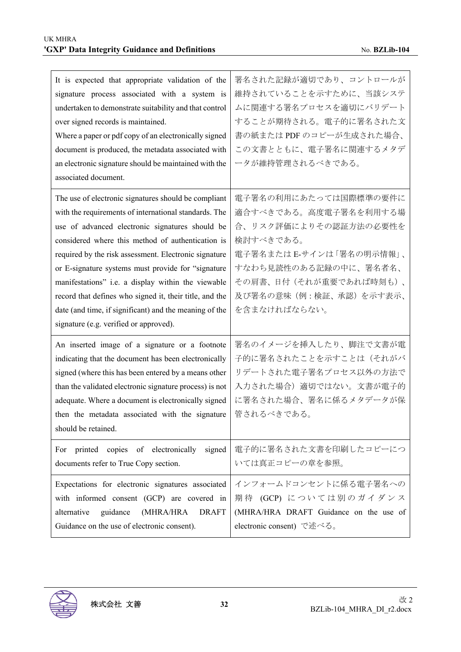| It is expected that appropriate validation of the<br>signature process associated with a system is<br>undertaken to demonstrate suitability and that control<br>over signed records is maintained.<br>Where a paper or pdf copy of an electronically signed<br>document is produced, the metadata associated with<br>an electronic signature should be maintained with the<br>associated document.                                                                                                                                                        | 署名された記録が適切であり、コントロールが<br>維持されていることを示すために、当該システ<br>ムに関連する署名プロセスを適切にバリデート<br>することが期待される。電子的に署名された文<br>書の紙または PDF のコピーが生成された場合、<br>この文書とともに、電子署名に関連するメタデ<br>ータが維持管理されるべきである。                                    |
|-----------------------------------------------------------------------------------------------------------------------------------------------------------------------------------------------------------------------------------------------------------------------------------------------------------------------------------------------------------------------------------------------------------------------------------------------------------------------------------------------------------------------------------------------------------|--------------------------------------------------------------------------------------------------------------------------------------------------------------------------------------------------------------|
| The use of electronic signatures should be compliant<br>with the requirements of international standards. The<br>use of advanced electronic signatures should be<br>considered where this method of authentication is<br>required by the risk assessment. Electronic signature<br>or E-signature systems must provide for "signature<br>manifestations" i.e. a display within the viewable<br>record that defines who signed it, their title, and the<br>date (and time, if significant) and the meaning of the<br>signature (e.g. verified or approved). | 電子署名の利用にあたっては国際標準の要件に<br>適合すべきである。高度電子署名を利用する場<br>合、リスク評価によりその認証方法の必要性を<br>検討すべきである。<br>電子署名またはE-サインは「署名の明示情報」、<br>すなわち見読性のある記録の中に、署名者名、<br>その肩書、日付(それが重要であれば時刻も)、<br>及び署名の意味(例:検証、承認)を示す表示、<br>を含まなければならない。 |
| An inserted image of a signature or a footnote<br>indicating that the document has been electronically<br>signed (where this has been entered by a means other<br>than the validated electronic signature process) is not<br>adequate. Where a document is electronically signed<br>then the metadata associated with the signature<br>should be retained.                                                                                                                                                                                                | 署名のイメージを挿入したり、脚注で文書が電<br>子的に署名されたことを示すことは(それがバ<br>リデートされた電子署名プロセス以外の方法で<br>入力された場合)適切ではない。文書が電子的<br>に署名された場合、署名に係るメタデータが保<br>管されるべきである。                                                                      |
| printed copies of electronically<br>signed<br>For<br>documents refer to True Copy section.<br>Expectations for electronic signatures associated                                                                                                                                                                                                                                                                                                                                                                                                           | 電子的に署名された文書を印刷したコピーにつ<br>いては真正コピーの章を参照。<br>インフォームドコンセントに係る電子署名への                                                                                                                                             |
| with informed consent (GCP) are covered in<br>alternative<br>guidance<br>(MHRA/HRA<br><b>DRAFT</b><br>Guidance on the use of electronic consent).                                                                                                                                                                                                                                                                                                                                                                                                         | 期待 (GCP) については別のガイダンス<br>(MHRA/HRA DRAFT Guidance on the use of<br>electronic consent) で述べる。                                                                                                                 |

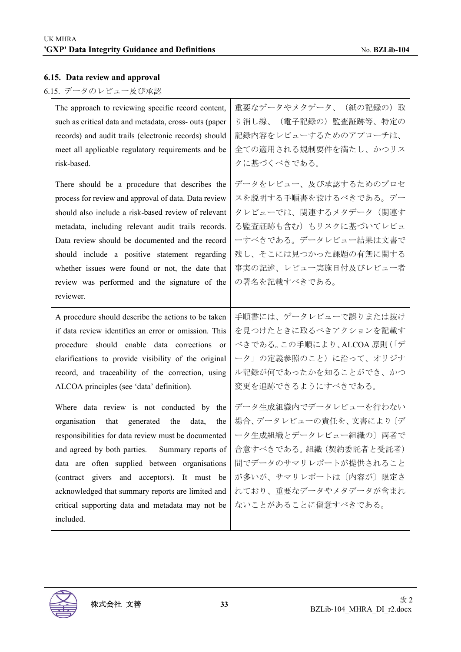## **6.15. Data review and approval**

# 6.15. データのレビュー及び承認

| The approach to reviewing specific record content,                                                                                                                                                                                                                                                                                                                                                                                       | 重要なデータやメタデータ、(紙の記録の)取                                                                                                                                                                                 |
|------------------------------------------------------------------------------------------------------------------------------------------------------------------------------------------------------------------------------------------------------------------------------------------------------------------------------------------------------------------------------------------------------------------------------------------|-------------------------------------------------------------------------------------------------------------------------------------------------------------------------------------------------------|
| such as critical data and metadata, cross- outs (paper                                                                                                                                                                                                                                                                                                                                                                                   | り消し線、(電子記録の)監査証跡等、特定の                                                                                                                                                                                 |
| records) and audit trails (electronic records) should                                                                                                                                                                                                                                                                                                                                                                                    | 記録内容をレビューするためのアプローチは、                                                                                                                                                                                 |
| meet all applicable regulatory requirements and be                                                                                                                                                                                                                                                                                                                                                                                       | 全ての適用される規制要件を満たし、かつリス                                                                                                                                                                                 |
| risk-based.                                                                                                                                                                                                                                                                                                                                                                                                                              | クに基づくべきである。                                                                                                                                                                                           |
| There should be a procedure that describes the<br>process for review and approval of data. Data review<br>should also include a risk-based review of relevant<br>metadata, including relevant audit trails records.<br>Data review should be documented and the record<br>should include a positive statement regarding<br>whether issues were found or not, the date that<br>review was performed and the signature of the<br>reviewer. | データをレビュー、及び承認するためのプロセ<br>スを説明する手順書を設けるべきである。デー<br>タレビューでは、関連するメタデータ(関連す<br>る監査証跡も含む)もリスクに基づいてレビュ<br>ーすべきである。データレビュー結果は文書で<br>残し、そこには見つかった課題の有無に関する<br>事実の記述、レビュー実施日付及びレビュー者<br>の署名を記載すべきである。          |
| A procedure should describe the actions to be taken                                                                                                                                                                                                                                                                                                                                                                                      | 手順書には、データレビューで誤りまたは抜け                                                                                                                                                                                 |
| if data review identifies an error or omission. This                                                                                                                                                                                                                                                                                                                                                                                     | を見つけたときに取るべきアクションを記載す                                                                                                                                                                                 |
| procedure should enable data corrections or                                                                                                                                                                                                                                                                                                                                                                                              | べきである。この手順により、ALCOA 原則 (「デ                                                                                                                                                                            |
| clarifications to provide visibility of the original                                                                                                                                                                                                                                                                                                                                                                                     | ータ」の定義参照のこと)に沿って、オリジナ                                                                                                                                                                                 |
| record, and traceability of the correction, using                                                                                                                                                                                                                                                                                                                                                                                        | ル記録が何であったかを知ることができ、かつ                                                                                                                                                                                 |
| ALCOA principles (see 'data' definition).                                                                                                                                                                                                                                                                                                                                                                                                | 変更を追跡できるようにすべきである。                                                                                                                                                                                    |
| Where data review is not conducted by the<br>organisation that<br>generated the<br>data,<br>the<br>responsibilities for data review must be documented<br>and agreed by both parties.<br>Summary reports of<br>data are often supplied between organisations<br>(contract givers and acceptors). It must be<br>acknowledged that summary reports are limited and<br>critical supporting data and metadata may not be<br>included.        | データ生成組織内でデータレビューを行わない<br>場合、データレビューの責任を、文書により〔デ<br>ータ生成組織とデータレビュー組織の〕両者で<br>合意すべきである。組織 (契約委託者と受託者)<br>間でデータのサマリレポートが提供されること<br>が多いが、サマリレポートは〔内容が〕限定さ<br>れており、重要なデータやメタデータが含まれ<br>ないことがあることに留意すべきである。 |

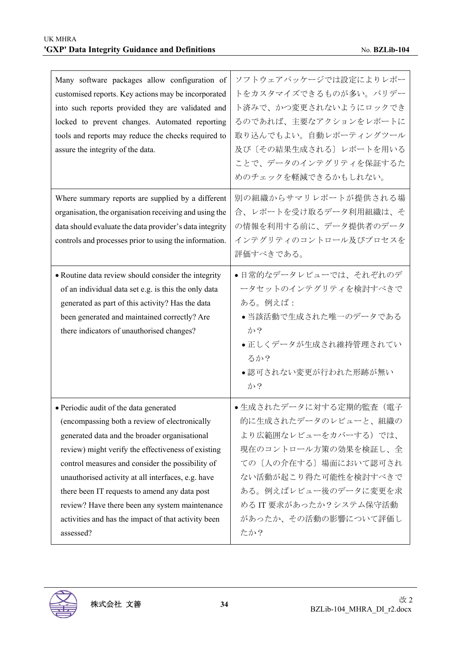| Many software packages allow configuration of<br>customised reports. Key actions may be incorporated<br>into such reports provided they are validated and<br>locked to prevent changes. Automated reporting<br>tools and reports may reduce the checks required to<br>assure the integrity of the data.                                                                                                                                                                         | ソフトウェアパッケージでは設定によりレポー<br>トをカスタマイズできるものが多い。バリデー<br>ト済みで、かつ変更されないようにロックでき<br>るのであれば、主要なアクションをレポートに<br>取り込んでもよい。自動レポーティングツール<br>及び〔その結果生成される〕レポートを用いる<br>ことで、データのインテグリティを保証するた<br>めのチェックを軽減できるかもしれない。                             |
|---------------------------------------------------------------------------------------------------------------------------------------------------------------------------------------------------------------------------------------------------------------------------------------------------------------------------------------------------------------------------------------------------------------------------------------------------------------------------------|--------------------------------------------------------------------------------------------------------------------------------------------------------------------------------------------------------------------------------|
| Where summary reports are supplied by a different<br>organisation, the organisation receiving and using the<br>data should evaluate the data provider's data integrity<br>controls and processes prior to using the information.                                                                                                                                                                                                                                                | 別の組織からサマリレポートが提供される場<br>合、レポートを受け取るデータ利用組織は、そ<br>の情報を利用する前に、データ提供者のデータ<br>インテグリティのコントロール及びプロセスを<br>評価すべきである。                                                                                                                   |
| • Routine data review should consider the integrity<br>of an individual data set e.g. is this the only data<br>generated as part of this activity? Has the data<br>been generated and maintained correctly? Are<br>there indicators of unauthorised changes?                                                                                                                                                                                                                    | ●日常的なデータレビューでは、それぞれのデ<br>ータセットのインテグリティを検討すべきで<br>ある。例えば:<br>●当該活動で生成された唯一のデータである<br>か?<br>●正しくデータが生成され維持管理されてい<br>るか?<br>●認可されない変更が行われた形跡が無い<br>か?                                                                             |
| · Periodic audit of the data generated<br>(encompassing both a review of electronically<br>generated data and the broader organisational<br>review) might verify the effectiveness of existing<br>control measures and consider the possibility of<br>unauthorised activity at all interfaces, e.g. have<br>there been IT requests to amend any data post<br>review? Have there been any system maintenance<br>activities and has the impact of that activity been<br>assessed? | ●生成されたデータに対する定期的監査(電子<br>的に生成されたデータのレビューと、組織の<br>より広範囲なレビューをカバーする)では、<br>現在のコントロール方策の効果を検証し、全<br>ての〔人の介在する〕場面において認可され<br>ない活動が起こり得た可能性を検討すべきで<br>ある。例えばレビュー後のデータに変更を求<br>める IT 要求があったか?システム保守活動<br>があったか、その活動の影響について評価し<br>たか? |

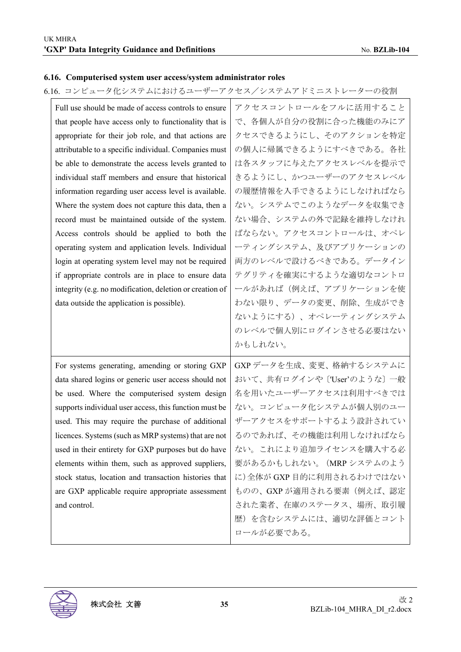#### **6.16. Computerised system user access/system administrator roles**

6.16. コンピュータ化システムにおけるユーザーアクセス/システムアドミニストレーターの役割

| Full use should be made of access controls to ensure     | アクセスコントロールをフルに活用すること        |
|----------------------------------------------------------|-----------------------------|
| that people have access only to functionality that is    | で、各個人が自分の役割に合った機能のみにア       |
| appropriate for their job role, and that actions are     | クセスできるようにし、そのアクションを特定       |
| attributable to a specific individual. Companies must    | の個人に帰属できるようにすべきである。各社       |
| be able to demonstrate the access levels granted to      | は各スタッフに与えたアクセスレベルを提示で       |
| individual staff members and ensure that historical      | きるようにし、かつユーザーのアクセスレベル       |
| information regarding user access level is available.    | の履歴情報を入手できるようにしなければなら       |
| Where the system does not capture this data, then a      | ない。システムでこのようなデータを収集でき       |
| record must be maintained outside of the system.         | ない場合、システムの外で記録を維持しなけれ       |
| Access controls should be applied to both the            | ばならない。アクセスコントロールは、オペレ       |
| operating system and application levels. Individual      | ーティングシステム、及びアプリケーションの       |
| login at operating system level may not be required      | 両方のレベルで設けるべきである。データイン       |
| if appropriate controls are in place to ensure data      | テグリティを確実にするような適切なコントロ       |
| integrity (e.g. no modification, deletion or creation of | ールがあれば(例えば、アプリケーションを使       |
| data outside the application is possible).               | わない限り、データの変更、削除、生成ができ       |
|                                                          |                             |
|                                                          | ないようにする)、オペレーティングシステム       |
|                                                          | のレベルで個人別にログインさせる必要はない       |
|                                                          | かもしれない。                     |
| For systems generating, amending or storing GXP          | GXP データを生成、変更、格納するシステムに     |
| data shared logins or generic user access should not     | おいて、共有ログインや ['User'のような] 一般 |
| be used. Where the computerised system design            | 名を用いたユーザーアクセスは利用すべきでは       |
| supports individual user access, this function must be   | ない。コンピュータ化システムが個人別のユー       |
| used. This may require the purchase of additional        | ザーアクセスをサポートするよう設計されてい       |
| licences. Systems (such as MRP systems) that are not     | るのであれば、その機能は利用しなければなら       |
| used in their entirety for GXP purposes but do have      | ない。これにより追加ライセンスを購入する必       |
| elements within them, such as approved suppliers,        | 要があるかもしれない。 (MRP システムのよう    |
| stock status, location and transaction histories that    | に)全体が GXP 目的に利用されるわけではない    |
| are GXP applicable require appropriate assessment        | ものの、GXP が適用される要素(例えば、認定     |
| and control.                                             | された業者、在庫のステータス、場所、取引履       |
|                                                          | 歴)を含むシステムには、適切な評価とコント       |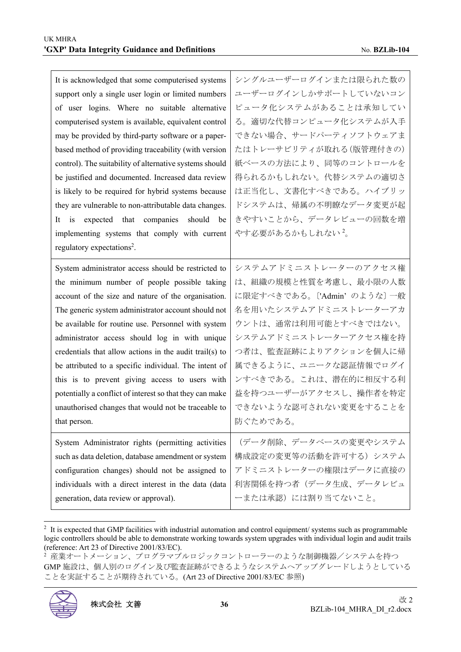| It is acknowledged that some computerised systems<br>support only a single user login or limited numbers<br>of user logins. Where no suitable alternative<br>computerised system is available, equivalent control<br>may be provided by third-party software or a paper-<br>based method of providing traceability (with version<br>control). The suitability of alternative systems should<br>be justified and documented. Increased data review<br>is likely to be required for hybrid systems because<br>they are vulnerable to non-attributable data changes.<br>expected that companies<br>should be<br>is<br>It | シングルユーザーログインまたは限られた数の<br>ユーザーログインしかサポートしていないコン<br>ピュータ化システムがあることは承知してい<br>る。適切な代替コンピュータ化システムが入手<br>できない場合、サードパーティソフトウェアま<br>たはトレーサビリティが取れる(版管理付きの)<br>紙ベースの方法により、同等のコントロールを<br>得られるかもしれない。代替システムの適切さ<br>は正当化し、文書化すべきである。ハイブリッ<br>ドシステムは、帰属の不明瞭なデータ変更が起<br>きやすいことから、データレビューの回数を増 |
|-----------------------------------------------------------------------------------------------------------------------------------------------------------------------------------------------------------------------------------------------------------------------------------------------------------------------------------------------------------------------------------------------------------------------------------------------------------------------------------------------------------------------------------------------------------------------------------------------------------------------|---------------------------------------------------------------------------------------------------------------------------------------------------------------------------------------------------------------------------------------------------------------------------------|
| implementing systems that comply with current<br>regulatory expectations <sup>2</sup> .                                                                                                                                                                                                                                                                                                                                                                                                                                                                                                                               | やす必要があるかもしれない <sup>2</sup> 。                                                                                                                                                                                                                                                    |
| System administrator access should be restricted to                                                                                                                                                                                                                                                                                                                                                                                                                                                                                                                                                                   | システムアドミニストレーターのアクセス権                                                                                                                                                                                                                                                            |
| the minimum number of people possible taking                                                                                                                                                                                                                                                                                                                                                                                                                                                                                                                                                                          | は、組織の規模と性質を考慮し、最小限の人数                                                                                                                                                                                                                                                           |
| account of the size and nature of the organisation.                                                                                                                                                                                                                                                                                                                                                                                                                                                                                                                                                                   | に限定すべきである。['Admin' のような] 一般                                                                                                                                                                                                                                                     |
| The generic system administrator account should not                                                                                                                                                                                                                                                                                                                                                                                                                                                                                                                                                                   | 名を用いたシステムアドミニストレーターアカ                                                                                                                                                                                                                                                           |
| be available for routine use. Personnel with system                                                                                                                                                                                                                                                                                                                                                                                                                                                                                                                                                                   | ウントは、通常は利用可能とすべきではない。                                                                                                                                                                                                                                                           |
| administrator access should log in with unique                                                                                                                                                                                                                                                                                                                                                                                                                                                                                                                                                                        | システムアドミニストレーターアクセス権を持                                                                                                                                                                                                                                                           |
| credentials that allow actions in the audit trail(s) to                                                                                                                                                                                                                                                                                                                                                                                                                                                                                                                                                               | つ者は、監査証跡によりアクションを個人に帰                                                                                                                                                                                                                                                           |
| be attributed to a specific individual. The intent of                                                                                                                                                                                                                                                                                                                                                                                                                                                                                                                                                                 | 属できるように、ユニークな認証情報でログイ                                                                                                                                                                                                                                                           |
| this is to prevent giving access to users with                                                                                                                                                                                                                                                                                                                                                                                                                                                                                                                                                                        | ンすべきである。これは、潜在的に相反する利                                                                                                                                                                                                                                                           |
| potentially a conflict of interest so that they can make                                                                                                                                                                                                                                                                                                                                                                                                                                                                                                                                                              | 益を持つユーザーがアクセスし、操作者を特定                                                                                                                                                                                                                                                           |
| unauthorised changes that would not be traceable to                                                                                                                                                                                                                                                                                                                                                                                                                                                                                                                                                                   | できないような認可されない変更をすることを                                                                                                                                                                                                                                                           |
| that person.                                                                                                                                                                                                                                                                                                                                                                                                                                                                                                                                                                                                          | 防ぐためである。                                                                                                                                                                                                                                                                        |
| System Administrator rights (permitting activities                                                                                                                                                                                                                                                                                                                                                                                                                                                                                                                                                                    | (データ削除、データベースの変更やシステム                                                                                                                                                                                                                                                           |
| such as data deletion, database amendment or system                                                                                                                                                                                                                                                                                                                                                                                                                                                                                                                                                                   | 構成設定の変更等の活動を許可する) システム                                                                                                                                                                                                                                                          |
| configuration changes) should not be assigned to                                                                                                                                                                                                                                                                                                                                                                                                                                                                                                                                                                      | アドミニストレーターの権限はデータに直接の                                                                                                                                                                                                                                                           |
| individuals with a direct interest in the data (data                                                                                                                                                                                                                                                                                                                                                                                                                                                                                                                                                                  | 利害関係を持つ者(データ生成、データレビュ                                                                                                                                                                                                                                                           |
| generation, data review or approval).                                                                                                                                                                                                                                                                                                                                                                                                                                                                                                                                                                                 | ーまたは承認)には割り当てないこと。                                                                                                                                                                                                                                                              |

 $2$  It is expected that GMP facilities with industrial automation and control equipment/ systems such as programmable logic controllers should be able to demonstrate working towards system upgrades with individual login and audit trails (reference: Art 23 of Directive 2001/83/EC).

<sup>、&</sup>lt;br>2 産業オートメーション、プログラマブルロジックコントローラーのような制御機器/システムを持つ GMP 施設は、個人別のログイン及び監査証跡ができるようなシステムへアップグレードしようとしている ことを実証することが期待されている。(Art 23 of Directive 2001/83/EC 参照)

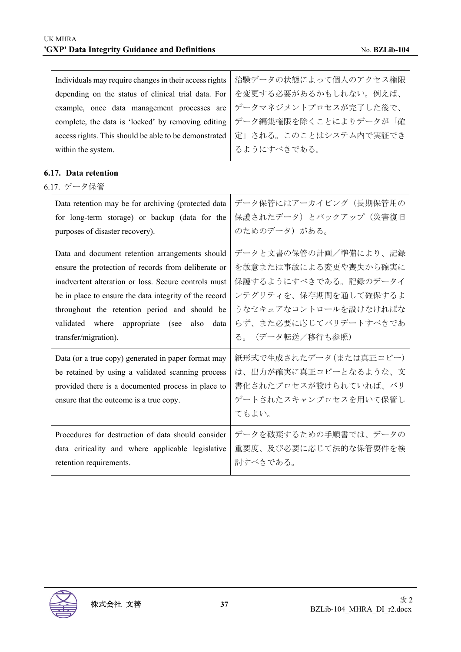| Individuals may require changes in their access rights<br>depending on the status of clinical trial data. For<br>example, once data management processes are<br>complete, the data is 'locked' by removing editing<br>access rights. This should be able to be demonstrated<br>within the system.                                                     | 治験データの状態によって個人のアクセス権限<br>を変更する必要があるかもしれない。例えば、<br>データマネジメントプロセスが完了した後で、<br>データ編集権限を除くことによりデータが「確<br>定」される。このことはシステム内で実証でき<br>るようにすべきである。                              |
|-------------------------------------------------------------------------------------------------------------------------------------------------------------------------------------------------------------------------------------------------------------------------------------------------------------------------------------------------------|-----------------------------------------------------------------------------------------------------------------------------------------------------------------------|
| 6.17. Data retention<br>6.17. データ保管                                                                                                                                                                                                                                                                                                                   |                                                                                                                                                                       |
| Data retention may be for archiving (protected data<br>for long-term storage) or backup (data for the<br>purposes of disaster recovery).                                                                                                                                                                                                              | データ保管にはアーカイビング(長期保管用の<br>保護されたデータ)とバックアップ (災害復旧<br>のためのデータ)がある。                                                                                                       |
| Data and document retention arrangements should<br>ensure the protection of records from deliberate or<br>inadvertent alteration or loss. Secure controls must<br>be in place to ensure the data integrity of the record<br>throughout the retention period and should be<br>validated where appropriate (see<br>also<br>data<br>transfer/migration). | データと文書の保管の計画/準備により、記録<br>を故意または事故による変更や喪失から確実に<br>保護するようにすべきである。記録のデータイ<br>ンテグリティを、保存期間を通して確保するよ<br>うなセキュアなコントロールを設けなければな<br>らず、また必要に応じてバリデートすべきであ<br>る。(データ転送/移行も参照) |
| Data (or a true copy) generated in paper format may<br>be retained by using a validated scanning process<br>provided there is a documented process in place to<br>ensure that the outcome is a true copy.                                                                                                                                             | 紙形式で生成されたデータ(または真正コピー)<br>は、出力が確実に真正コピーとなるような、文<br>書化されたプロセスが設けられていれば、バリ<br>デートされたスキャンプロセスを用いて保管し<br>てもよい。                                                            |
| Procedures for destruction of data should consider<br>data criticality and where applicable legislative<br>retention requirements.                                                                                                                                                                                                                    | データを破棄するための手順書では、データの<br>重要度、及び必要に応じて法的な保管要件を検<br>討すべきである。                                                                                                            |

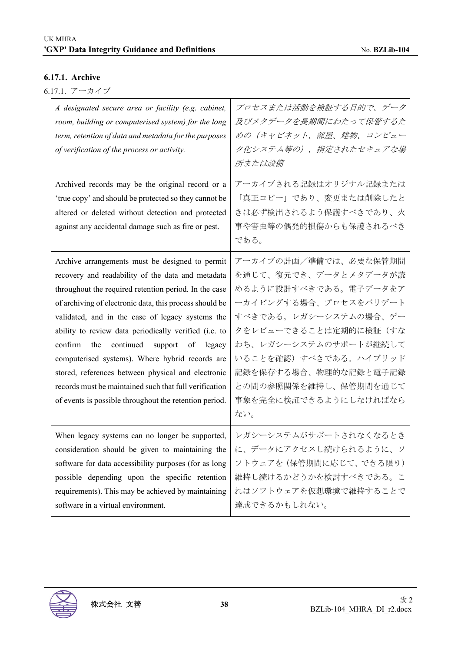#### **6.17.1. Archive**

| 6.17.1. アーカイブ |
|---------------|
|               |

| A designated secure area or facility (e.g. cabinet,<br>room, building or computerised system) for the long<br>term, retention of data and metadata for the purposes<br>of verification of the process or activity.                                                                                                                                                                                                                                                                                                                                                                                                        | プロセスまたは活動を検証する目的で、データ<br>及びメタデータを長期間にわたって保管するた<br>めの(キャビネット、部屋、建物、コンピュー<br>タ化システム等の)、指定されたセキュアな場<br>所または設備                                                                                                                                                                              |
|---------------------------------------------------------------------------------------------------------------------------------------------------------------------------------------------------------------------------------------------------------------------------------------------------------------------------------------------------------------------------------------------------------------------------------------------------------------------------------------------------------------------------------------------------------------------------------------------------------------------------|-----------------------------------------------------------------------------------------------------------------------------------------------------------------------------------------------------------------------------------------------------------------------------------------|
| Archived records may be the original record or a<br>'true copy' and should be protected so they cannot be<br>altered or deleted without detection and protected<br>against any accidental damage such as fire or pest.                                                                                                                                                                                                                                                                                                                                                                                                    | アーカイブされる記録はオリジナル記録または<br>「真正コピー」であり、変更または削除したと<br>きは必ず検出されるよう保護すべきであり、火<br>事や害虫等の偶発的損傷からも保護されるべき<br>である。                                                                                                                                                                                |
| Archive arrangements must be designed to permit<br>recovery and readability of the data and metadata<br>throughout the required retention period. In the case<br>of archiving of electronic data, this process should be<br>validated, and in the case of legacy systems the<br>ability to review data periodically verified (i.e. to<br>continued support<br>confirm<br>the<br>of<br>legacy<br>computerised systems). Where hybrid records are<br>stored, references between physical and electronic<br>records must be maintained such that full verification<br>of events is possible throughout the retention period. | アーカイブの計画/準備では、必要な保管期間<br>を通じて、復元でき、データとメタデータが読<br>めるように設計すべきである。電子データをア<br>ーカイビングする場合、プロセスをバリデート<br>すべきである。レガシーシステムの場合、デー<br>タをレビューできることは定期的に検証(すな<br>わち、レガシーシステムのサポートが継続して<br>いることを確認) すべきである。ハイブリッド<br>記録を保存する場合、物理的な記録と電子記録<br>との間の参照関係を維持し、保管期間を通じて<br>事象を完全に検証できるようにしなければなら<br>ない。 |
| When legacy systems can no longer be supported,<br>consideration should be given to maintaining the<br>software for data accessibility purposes (for as long<br>possible depending upon the specific retention<br>requirements). This may be achieved by maintaining<br>software in a virtual environment.                                                                                                                                                                                                                                                                                                                | レガシーシステムがサポートされなくなるとき<br>に、データにアクセスし続けられるように、ソ<br>フトウェアを (保管期間に応じて、できる限り)<br>維持し続けるかどうかを検討すべきである。こ<br>れはソフトウェアを仮想環境で維持することで<br>達成できるかもしれない。                                                                                                                                             |

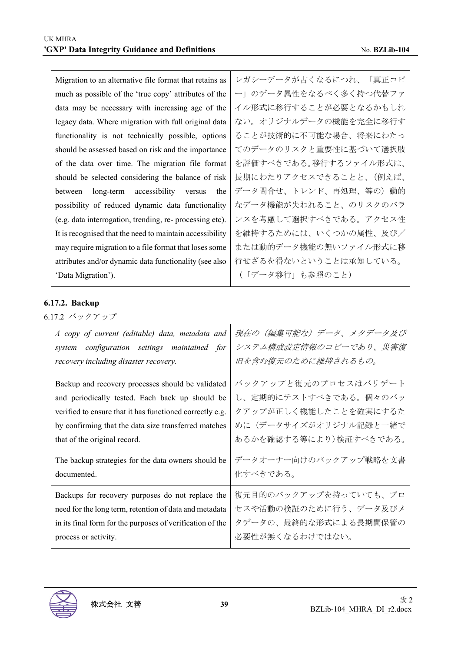| Migration to an alternative file format that retains as  | レガシーデータが古くなるにつれ、「真正コピ  |  |  |
|----------------------------------------------------------|------------------------|--|--|
| much as possible of the 'true copy' attributes of the    | ー」のデータ属性をなるべく多く持つ代替ファ  |  |  |
| data may be necessary with increasing age of the         | イル形式に移行することが必要となるかもしれ  |  |  |
| legacy data. Where migration with full original data     | ない。オリジナルデータの機能を完全に移行す  |  |  |
| functionality is not technically possible, options       | ることが技術的に不可能な場合、将来にわたっ  |  |  |
| should be assessed based on risk and the importance      | てのデータのリスクと重要性に基づいて選択肢  |  |  |
| of the data over time. The migration file format         | を評価すべきである。移行するファイル形式は、 |  |  |
| should be selected considering the balance of risk       | 長期にわたりアクセスできることと、(例えば、 |  |  |
| long-term accessibility<br>the<br>between<br>versus      | データ問合せ、トレンド、再処理、等の)動的  |  |  |
| possibility of reduced dynamic data functionality        | なデータ機能が失われること、のリスクのバラ  |  |  |
| (e.g. data interrogation, trending, re- processing etc). | ンスを考慮して選択すべきである。アクセス性  |  |  |
| It is recognised that the need to maintain accessibility | を維持するためには、いくつかの属性、及び/  |  |  |
| may require migration to a file format that loses some   | または動的データ機能の無いファイル形式に移  |  |  |
| attributes and/or dynamic data functionality (see also   | 行せざるを得ないということは承知している。  |  |  |
| 'Data Migration').                                       | (「データ移行」も参照のこと)        |  |  |
|                                                          |                        |  |  |

## **6.17.2. Backup**

6.17.2 バックアップ

| A copy of current (editable) data, metadata and           | 現在の(編集可能な)データ、メタデータ及び  |
|-----------------------------------------------------------|------------------------|
| system configuration settings maintained for              | システム構成設定情報のコピーであり、災害復  |
| recovery including disaster recovery.                     | 旧を含む復元のために維持されるもの。     |
| Backup and recovery processes should be validated         | バックアップと復元のプロセスはバリデート   |
| and periodically tested. Each back up should be           | し、定期的にテストすべきである。個々のバッ  |
| verified to ensure that it has functioned correctly e.g.  | クアップが正しく機能したことを確実にするた  |
| by confirming that the data size transferred matches      | めに(データサイズがオリジナル記録と一緒で  |
| that of the original record.                              | あるかを確認する等により)検証すべきである。 |
| The backup strategies for the data owners should be       | データオーナー向けのバックアップ戦略を文書  |
| documented.                                               | 化すべきである。               |
| Backups for recovery purposes do not replace the          | 復元目的のバックアップを持っていても、プロ  |
| need for the long term, retention of data and metadata    | セスや活動の検証のために行う、データ及びメ  |
| in its final form for the purposes of verification of the | タデータの、最終的な形式による長期間保管の  |
| process or activity.                                      | 必要性が無くなるわけではない。        |

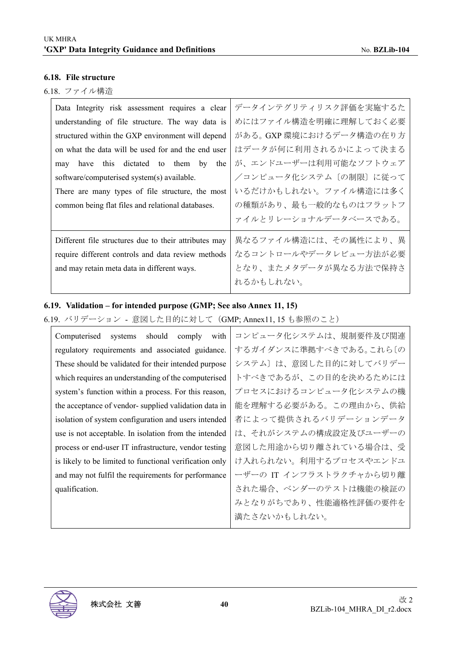#### **6.18. File structure**

#### 6.18. ファイル構造

| Data Integrity risk assessment requires a clear       | データインテグリティリスク評価を実施するた    |
|-------------------------------------------------------|--------------------------|
| understanding of file structure. The way data is      | めにはファイル構造を明確に理解しておく必要    |
| structured within the GXP environment will depend     | がある。 GXP 環境におけるデータ構造の在り方 |
| on what the data will be used for and the end user    | はデータが何に利用されるかによって決まる     |
| have this dictated to them by<br>the<br>may           | が、エンドユーザーは利用可能なソフトウェア    |
| software/computerised system(s) available.            | /コンピュータ化システム 〔の制限〕に従って   |
| There are many types of file structure, the most      | いるだけかもしれない。ファイル構造には多く    |
| common being flat files and relational databases.     | の種類があり、最も一般的なものはフラットフ    |
|                                                       | ァイルとリレーショナルデータベースである。    |
| Different file structures due to their attributes may | 異なるファイル構造には、その属性により、異    |
| require different controls and data review methods    | なるコントロールやデータレビュー方法が必要    |
| and may retain meta data in different ways.           | となり、またメタデータが異なる方法で保持さ    |
|                                                       | れるかもしれない。                |

#### **6.19. Validation – for intended purpose (GMP; See also Annex 11, 15)**

6.19. バリデーション - 意図した目的に対して(GMP; Annex11, 15 も参照のこと)

| should<br>comply<br>with<br>Computerised<br>systems     | コンピュータ化システムは、規制要件及び関連   |  |
|---------------------------------------------------------|-------------------------|--|
| regulatory requirements and associated guidance.        | するガイダンスに準拠すべきである。これら〔の  |  |
| These should be validated for their intended purpose    | システム〕は、意図した目的に対してバリデー   |  |
| which requires an understanding of the computerised     | トすべきであるが、この目的を決めるためには   |  |
| system's function within a process. For this reason,    | プロセスにおけるコンピュータ化システムの機   |  |
| the acceptance of vendor-supplied validation data in    | 能を理解する必要がある。この理由から、供給   |  |
| isolation of system configuration and users intended    | 者によって提供されるバリデーションデータ    |  |
| use is not acceptable. In isolation from the intended   | は、それがシステムの構成設定及びユーザーの   |  |
| process or end-user IT infrastructure, vendor testing   | 意図した用途から切り離されている場合は、受   |  |
| is likely to be limited to functional verification only | け入れられない。利用するプロセスやエンドユ   |  |
| and may not fulfil the requirements for performance     | ーザーの IT インフラストラクチャから切り離 |  |
| qualification.                                          | された場合、ベンダーのテストは機能の検証の   |  |
|                                                         | みとなりがちであり、性能適格性評価の要件を   |  |
|                                                         | 満たさないかもしれない。            |  |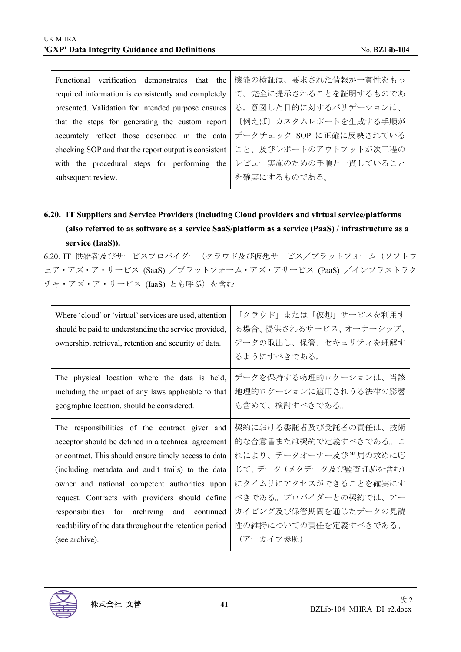$\mathbf{r}$ 

| Functional                                                         | verification demonstrates that the 機能の検証は、要求された情報が一貫性をもっ |  |  |
|--------------------------------------------------------------------|----------------------------------------------------------|--|--|
| required information is consistently and completely                | て、完全に提示されることを証明するものであ                                    |  |  |
| presented. Validation for intended purpose ensures                 | る。意図した目的に対するバリデーションは、                                    |  |  |
| that the steps for generating the custom report                    | 「例えば〕カスタムレポートを生成する手順が                                    |  |  |
| accurately reflect those described in the data                     | データチェック SOP に正確に反映されている                                  |  |  |
| checking SOP and that the report output is consistent              | こと、及びレポートのアウトプットが次工程の                                    |  |  |
| with the procedural steps for performing the レビュー実施のための手順と一貫していること |                                                          |  |  |
| subsequent review.                                                 | を確実にするものである。                                             |  |  |
|                                                                    |                                                          |  |  |

# **6.20. IT Suppliers and Service Providers (including Cloud providers and virtual service/platforms (also referred to as software as a service SaaS/platform as a service (PaaS) / infrastructure as a service (IaaS)).**

6.20. IT 供給者及びサービスプロバイダー(クラウド及び仮想サービス/プラットフォーム(ソフトウ ェア・アズ・ア・サービス (SaaS) /プラットフォーム・アズ・アサービス (PaaS) /インフラストラク チャ・アズ・ア・サービス (IaaS) とも呼ぶ)を含む

| Where 'cloud' or 'virtual' services are used, attention<br>should be paid to understanding the service provided,<br>ownership, retrieval, retention and security of data. | 「クラウド」または「仮想」サービスを利用す<br>る場合、提供されるサービス、オーナーシップ、<br>データの取出し、保管、セキュリティを理解す<br>るようにすべきである。 |
|---------------------------------------------------------------------------------------------------------------------------------------------------------------------------|-----------------------------------------------------------------------------------------|
| The physical location where the data is held,                                                                                                                             | データを保持する物理的ロケーションは、当該                                                                   |
| including the impact of any laws applicable to that                                                                                                                       | 地理的ロケーションに適用されうる法律の影響                                                                   |
| geographic location, should be considered.                                                                                                                                | も含めて、検討すべきである。                                                                          |
| The responsibilities of the contract giver and                                                                                                                            | 契約における委託者及び受託者の責任は、技術                                                                   |
| acceptor should be defined in a technical agreement                                                                                                                       | 的な合意書または契約で定義すべきである。こ                                                                   |
| or contract. This should ensure timely access to data                                                                                                                     | れにより、データオーナー及び当局の求めに応                                                                   |
| (including metadata and audit trails) to the data                                                                                                                         | じて、データ(メタデータ及び監査証跡を含む)                                                                  |
| owner and national competent authorities upon                                                                                                                             | にタイムリにアクセスができることを確実にす                                                                   |
| request. Contracts with providers should define                                                                                                                           | べきである。プロバイダーとの契約では、アー                                                                   |
| responsibilities for archiving and continued                                                                                                                              | カイビング及び保管期間を通じたデータの見読                                                                   |
| readability of the data throughout the retention period                                                                                                                   | 性の維持についての責任を定義すべきである。                                                                   |
| (see archive).                                                                                                                                                            | (アーカイブ参照)                                                                               |

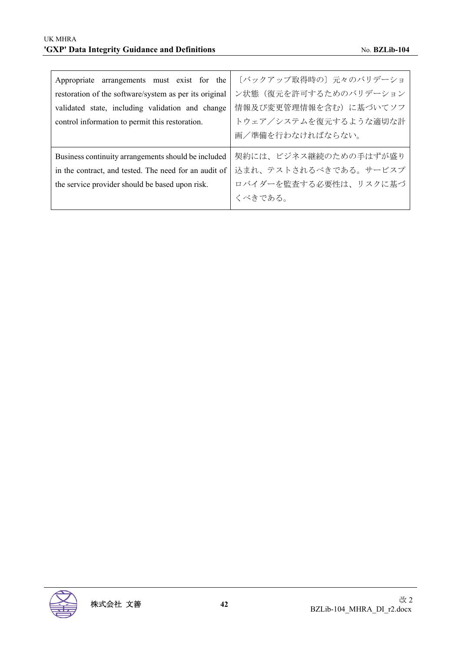| Appropriate arrangements must exist for the            | [バックアップ取得時の]元々のバリデーショ |  |
|--------------------------------------------------------|-----------------------|--|
| restoration of the software/system as per its original | ン状態(復元を許可するためのバリデーション |  |
| validated state, including validation and change       | 情報及び変更管理情報を含む)に基づいてソフ |  |
| control information to permit this restoration.        | トウェア/システムを復元するような適切な計 |  |
|                                                        | 画/準備を行わなければならない。      |  |
| Business continuity arrangements should be included    | 契約には、ビジネス継続のための手はずが盛り |  |
|                                                        |                       |  |
| in the contract, and tested. The need for an audit of  | 込まれ、テストされるべきである。サービスプ |  |
| the service provider should be based upon risk.        | ロバイダーを監査する必要性は、リスクに基づ |  |

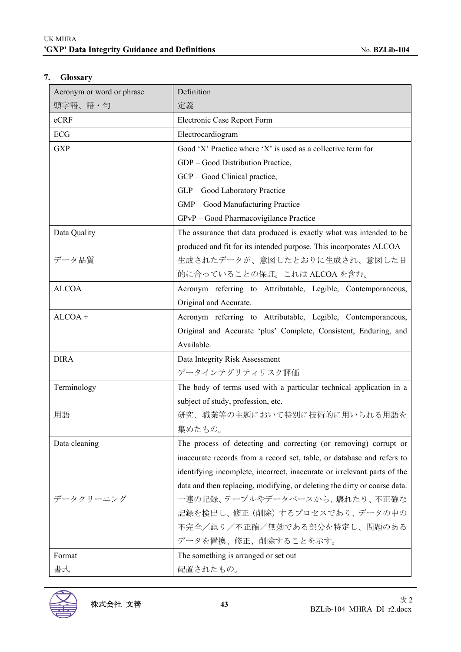## **7. Glossary**

| Acronym or word or phrase | Definition                                                                |  |
|---------------------------|---------------------------------------------------------------------------|--|
| 頭字語、語・句                   | 定義                                                                        |  |
| eCRF                      | Electronic Case Report Form                                               |  |
| ECG                       | Electrocardiogram                                                         |  |
| <b>GXP</b>                | Good 'X' Practice where 'X' is used as a collective term for              |  |
|                           | GDP - Good Distribution Practice,                                         |  |
|                           | GCP - Good Clinical practice,                                             |  |
|                           | GLP - Good Laboratory Practice                                            |  |
|                           | GMP - Good Manufacturing Practice                                         |  |
|                           | GPvP - Good Pharmacovigilance Practice                                    |  |
| Data Quality              | The assurance that data produced is exactly what was intended to be       |  |
|                           | produced and fit for its intended purpose. This incorporates ALCOA        |  |
| データ品質                     | 生成されたデータが、意図したとおりに生成され、意図した目                                              |  |
|                           | 的に合っていることの保証。これは ALCOA を含む。                                               |  |
| <b>ALCOA</b>              | Acronym referring to Attributable, Legible, Contemporaneous,              |  |
|                           | Original and Accurate.                                                    |  |
| $ALCOA +$                 | Acronym referring to Attributable, Legible, Contemporaneous,              |  |
|                           | Original and Accurate 'plus' Complete, Consistent, Enduring, and          |  |
|                           | Available.                                                                |  |
| <b>DIRA</b>               | Data Integrity Risk Assessment                                            |  |
|                           | データインテグリティリスク評価                                                           |  |
| Terminology               | The body of terms used with a particular technical application in a       |  |
|                           | subject of study, profession, etc.                                        |  |
| 用語                        | 研究、職業等の主題において特別に技術的に用いられる用語を                                              |  |
|                           | 集めたもの。                                                                    |  |
| Data cleaning             | The process of detecting and correcting (or removing) corrupt or          |  |
|                           | inaccurate records from a record set, table, or database and refers to    |  |
|                           | identifying incomplete, incorrect, inaccurate or irrelevant parts of the  |  |
|                           | data and then replacing, modifying, or deleting the dirty or coarse data. |  |
| データクリーニング                 | 一連の記録、テーブルやデータベースから、壊れたり、不正確な                                             |  |
|                           | 記録を検出し、修正 (削除) するプロセスであり、データの中の                                           |  |
|                           | 不完全/誤り/不正確/無効である部分を特定し、問題のある                                              |  |
|                           | データを置換、修正、削除することを示す。                                                      |  |
| Format                    | The something is arranged or set out                                      |  |
| 書式                        | 配置されたもの。                                                                  |  |

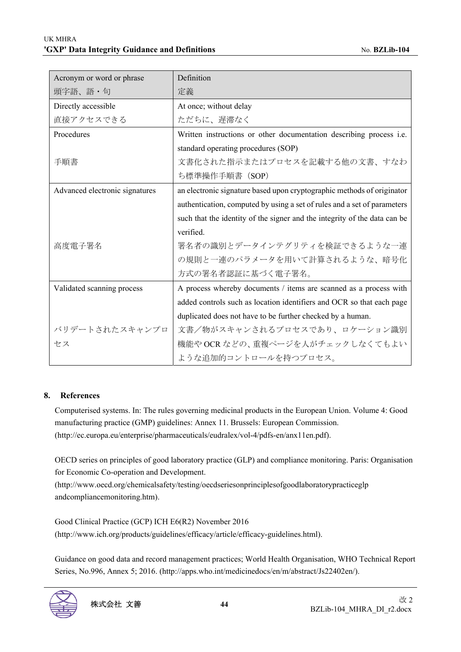| Acronym or word or phrase      | Definition                                                                |
|--------------------------------|---------------------------------------------------------------------------|
| 頭字語、語・句                        | 定義                                                                        |
| Directly accessible            | At once; without delay                                                    |
| 直接アクセスできる                      | ただちに、遅滞なく                                                                 |
| Procedures                     | Written instructions or other documentation describing process i.e.       |
|                                | standard operating procedures (SOP)                                       |
| 手順書                            | 文書化された指示またはプロセスを記載する他の文書、すなわ                                              |
|                                | ち標準操作手順書 (SOP)                                                            |
| Advanced electronic signatures | an electronic signature based upon cryptographic methods of originator    |
|                                | authentication, computed by using a set of rules and a set of parameters  |
|                                | such that the identity of the signer and the integrity of the data can be |
|                                | verified.                                                                 |
| 高度電子署名                         | 署名者の識別とデータインテグリティを検証できるような一連                                              |
|                                | の規則と一連のパラメータを用いて計算されるような、暗号化                                              |
|                                | 方式の署名者認証に基づく電子署名。                                                         |
| Validated scanning process     | A process whereby documents / items are scanned as a process with         |
|                                | added controls such as location identifiers and OCR so that each page     |
|                                | duplicated does not have to be further checked by a human.                |
| バリデートされたスキャンプロ                 | 文書/物がスキャンされるプロセスであり、ロケーション識別                                              |
| ヤス                             | 機能やOCR などの、重複ページを人がチェックしなくてもよい                                            |
|                                | ような追加的コントロールを持つプロセス。                                                      |

#### **8. References**

Computerised systems. In: The rules governing medicinal products in the European Union. Volume 4: Good manufacturing practice (GMP) guidelines: Annex 11. Brussels: European Commission. (http://ec.europa.eu/enterprise/pharmaceuticals/eudralex/vol-4/pdfs-en/anx11en.pdf).

OECD series on principles of good laboratory practice (GLP) and compliance monitoring. Paris: Organisation for Economic Co-operation and Development.

(http://www.oecd.org/chemicalsafety/testing/oecdseriesonprinciplesofgoodlaboratorypracticeglp andcompliancemonitoring.htm).

Good Clinical Practice (GCP) ICH E6(R2) November 2016 (http://www.ich.org/products/guidelines/efficacy/article/efficacy-guidelines.html).

Guidance on good data and record management practices; World Health Organisation, WHO Technical Report Series, No.996, Annex 5; 2016. (http://apps.who.int/medicinedocs/en/m/abstract/Js22402en/).